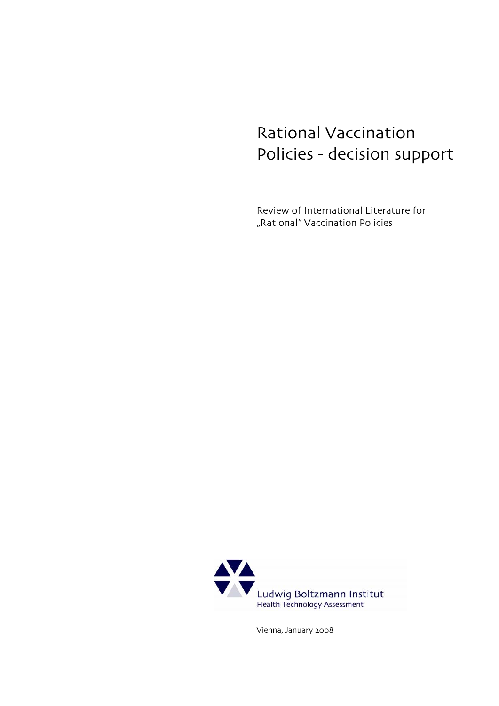# Rational Vaccination Policies - decision support

Review of International Literature for "Rational" Vaccination Policies



Vienna, January 2008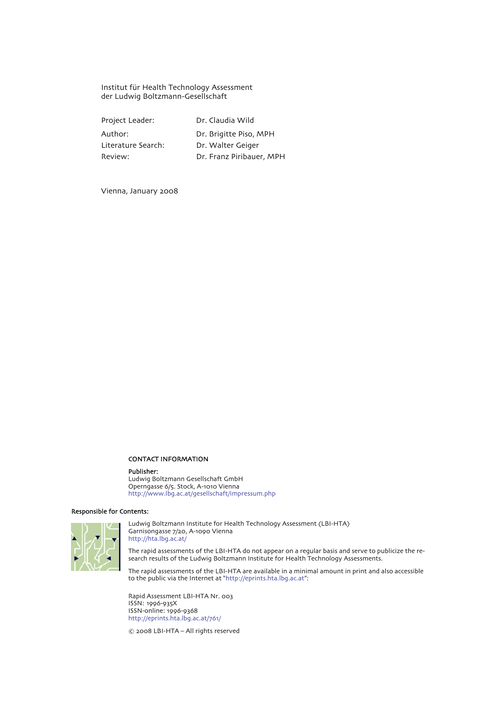Institut für Health Technology Assessment der Ludwig Boltzmann-Gesellschaft

Project Leader: Dr. Claudia Wild Author: Dr. Brigitte Piso, MPH Literature Search: Dr. Walter Geiger Review: Dr. Franz Piribauer, MPH

Vienna, January 2008

#### CONTACT INFORMATION

#### Publisher:

Ludwig Boltzmann Gesellschaft GmbH Operngasse 6/5. Stock, A-1010 Vienna http://www.lbg.ac.at/gesellschaft/impressum.php

#### Responsible for Contents:



Ludwig Boltzmann Institute for Health Technology Assessment (LBI-HTA) Garnisongasse 7/20, A-1090 Vienna http://hta.lbg.ac.at/

The rapid assessments of the LBI-HTA do not appear on a regular basis and serve to publicize the research results of the Ludwig Boltzmann Institute for Health Technology Assessments.

The rapid assessments of the LBI-HTA are available in a minimal amount in print and also accessible to the public via the Internet at "http://eprints.hta.lbg.ac.at":

Rapid Assessment LBI-HTA Nr. 003 ISSN: 1996-935X ISSN-online: 1996-9368 http://eprints.hta.lbg.ac.at/761/

© 2008 LBI-HTA – All rights reserved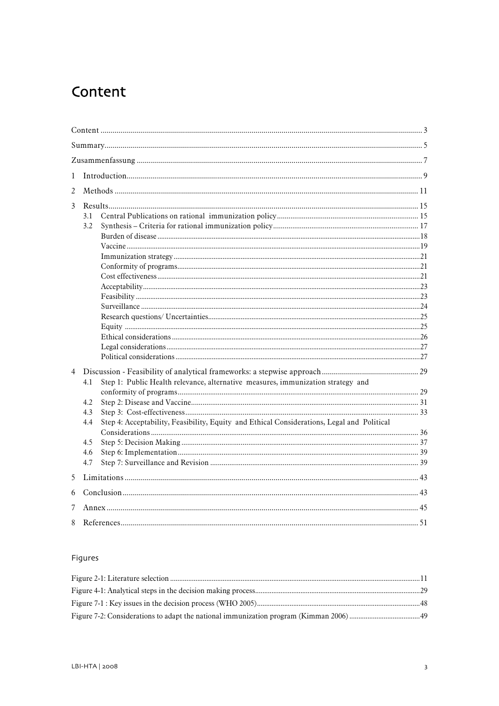# <span id="page-4-0"></span>Content

| 1              |                                                                                                   |  |  |  |  |  |
|----------------|---------------------------------------------------------------------------------------------------|--|--|--|--|--|
| 2              |                                                                                                   |  |  |  |  |  |
| $\overline{3}$ |                                                                                                   |  |  |  |  |  |
|                | 3.1                                                                                               |  |  |  |  |  |
|                | 3.2                                                                                               |  |  |  |  |  |
|                |                                                                                                   |  |  |  |  |  |
|                |                                                                                                   |  |  |  |  |  |
|                |                                                                                                   |  |  |  |  |  |
|                |                                                                                                   |  |  |  |  |  |
|                |                                                                                                   |  |  |  |  |  |
|                |                                                                                                   |  |  |  |  |  |
|                |                                                                                                   |  |  |  |  |  |
|                |                                                                                                   |  |  |  |  |  |
|                |                                                                                                   |  |  |  |  |  |
|                |                                                                                                   |  |  |  |  |  |
|                |                                                                                                   |  |  |  |  |  |
|                |                                                                                                   |  |  |  |  |  |
|                |                                                                                                   |  |  |  |  |  |
| $\overline{4}$ |                                                                                                   |  |  |  |  |  |
|                | Step 1: Public Health relevance, alternative measures, immunization strategy and<br>4.1           |  |  |  |  |  |
|                |                                                                                                   |  |  |  |  |  |
|                | 4.2                                                                                               |  |  |  |  |  |
|                | 4.3                                                                                               |  |  |  |  |  |
|                | Step 4: Acceptability, Feasibility, Equity and Ethical Considerations, Legal and Political<br>4.4 |  |  |  |  |  |
|                |                                                                                                   |  |  |  |  |  |
|                | 4.5                                                                                               |  |  |  |  |  |
|                | 4.6                                                                                               |  |  |  |  |  |
|                | 4.7                                                                                               |  |  |  |  |  |
| 5              |                                                                                                   |  |  |  |  |  |
| 6              |                                                                                                   |  |  |  |  |  |
| 7              |                                                                                                   |  |  |  |  |  |
| 8              |                                                                                                   |  |  |  |  |  |

## Figures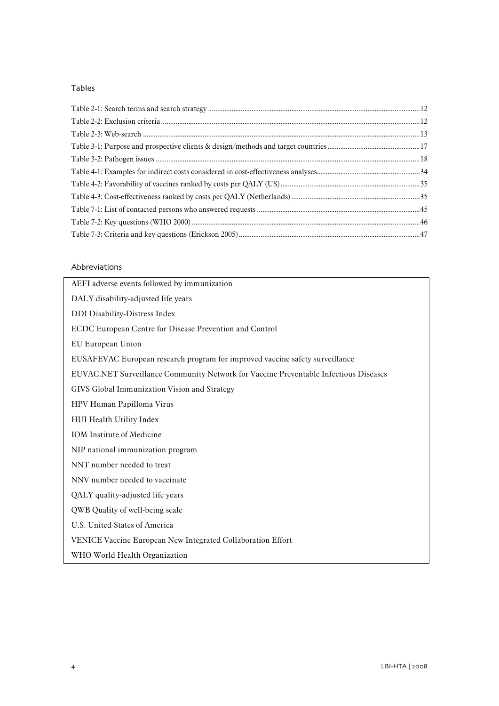### Tables

### Abbreviations

| AEFI adverse events followed by immunization                                         |
|--------------------------------------------------------------------------------------|
| DALY disability-adjusted life years                                                  |
| DDI Disability-Distress Index                                                        |
| ECDC European Centre for Disease Prevention and Control                              |
| EU European Union                                                                    |
| EUSAFEVAC European research program for improved vaccine safety surveillance         |
| EUVAC.NET Surveillance Community Network for Vaccine Preventable Infectious Diseases |
| GIVS Global Immunization Vision and Strategy                                         |
| HPV Human Papilloma Virus                                                            |
| HUI Health Utility Index                                                             |
| <b>IOM</b> Institute of Medicine                                                     |
| NIP national immunization program                                                    |
| NNT number needed to treat                                                           |
| NNV number needed to vaccinate                                                       |
| QALY quality-adjusted life years                                                     |
| QWB Quality of well-being scale                                                      |
| U.S. United States of America                                                        |
| VENICE Vaccine European New Integrated Collaboration Effort                          |
| WHO World Health Organization                                                        |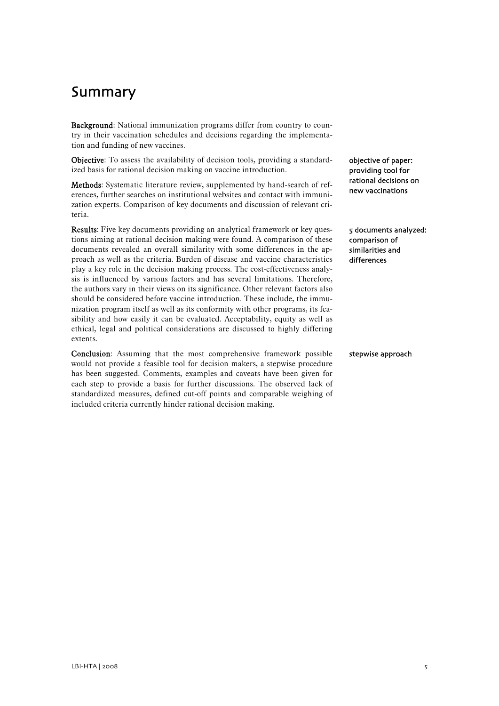# <span id="page-6-0"></span>Summary

Background: National immunization programs differ from country to country in their vaccination schedules and decisions regarding the implementation and funding of new vaccines.

Objective: To assess the availability of decision tools, providing a standardized basis for rational decision making on vaccine introduction.

Methods: Systematic literature review, supplemented by hand-search of references, further searches on institutional websites and contact with immunization experts. Comparison of key documents and discussion of relevant criteria.

Results: Five key documents providing an analytical framework or key questions aiming at rational decision making were found. A comparison of these documents revealed an overall similarity with some differences in the approach as well as the criteria. Burden of disease and vaccine characteristics play a key role in the decision making process. The cost-effectiveness analysis is influenced by various factors and has several limitations. Therefore, the authors vary in their views on its significance. Other relevant factors also should be considered before vaccine introduction. These include, the immunization program itself as well as its conformity with other programs, its feasibility and how easily it can be evaluated. Acceptability, equity as well as ethical, legal and political considerations are discussed to highly differing extents.

Conclusion: Assuming that the most comprehensive framework possible would not provide a feasible tool for decision makers, a stepwise procedure has been suggested. Comments, examples and caveats have been given for each step to provide a basis for further discussions. The observed lack of standardized measures, defined cut-off points and comparable weighing of included criteria currently hinder rational decision making.

objective of paper: providing tool for rational decisions on new vaccinations

5 documents analyzed: comparison of similarities and differences

stepwise approach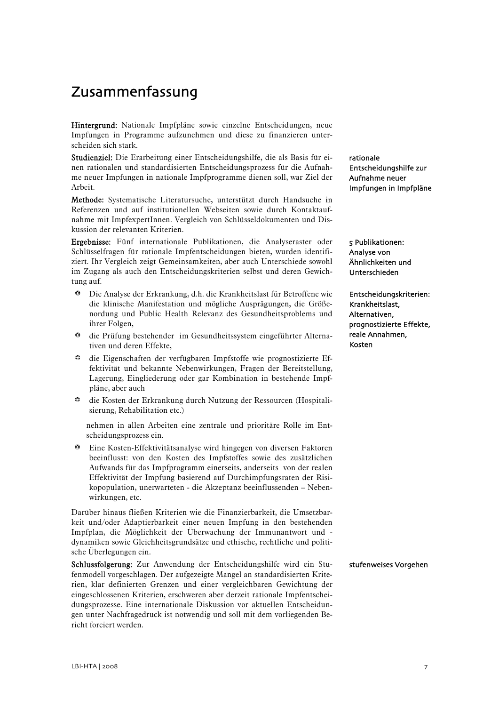# <span id="page-8-0"></span>Zusammenfassung

Hintergrund: Nationale Impfpläne sowie einzelne Entscheidungen, neue Impfungen in Programme aufzunehmen und diese zu finanzieren unterscheiden sich stark.

Studienziel: Die Erarbeitung einer Entscheidungshilfe, die als Basis für einen rationalen und standardisierten Entscheidungsprozess für die Aufnahme neuer Impfungen in nationale Impfprogramme dienen soll, war Ziel der Arbeit.

Methode: Systematische Literatursuche, unterstützt durch Handsuche in Referenzen und auf institutionellen Webseiten sowie durch Kontaktaufnahme mit ImpfexpertInnen. Vergleich von Schlüsseldokumenten und Diskussion der relevanten Kriterien.

Ergebnisse: Fünf internationale Publikationen, die Analyseraster oder Schlüsselfragen für rationale Impfentscheidungen bieten, wurden identifiziert. Ihr Vergleich zeigt Gemeinsamkeiten, aber auch Unterschiede sowohl im Zugang als auch den Entscheidungskriterien selbst und deren Gewichtung auf.

- b Die Analyse der Erkrankung, d.h. die Krankheitslast für Betroffene wie die klinische Manifestation und mögliche Ausprägungen, die Größenordung und Public Health Relevanz des Gesundheitsproblems und ihrer Folgen,
- b die Prüfung bestehender im Gesundheitssystem eingeführter Alternativen und deren Effekte,
- b die Eigenschaften der verfügbaren Impfstoffe wie prognostizierte Effektivität und bekannte Nebenwirkungen, Fragen der Bereitstellung, Lagerung, Eingliederung oder gar Kombination in bestehende Impfpläne, aber auch
- b die Kosten der Erkrankung durch Nutzung der Ressourcen (Hospitalisierung, Rehabilitation etc.)

nehmen in allen Arbeiten eine zentrale und prioritäre Rolle im Entscheidungsprozess ein.

 $\bullet$  Eine Kosten-Effektivitätsanalyse wird hingegen von diversen Faktoren beeinflusst: von den Kosten des Impfstoffes sowie des zusätzlichen Aufwands für das Impfprogramm einerseits, anderseits von der realen Effektivität der Impfung basierend auf Durchimpfungsraten der Risikopopulation, unerwarteten - die Akzeptanz beeinflussenden – Nebenwirkungen, etc.

Darüber hinaus fließen Kriterien wie die Finanzierbarkeit, die Umsetzbarkeit und/oder Adaptierbarkeit einer neuen Impfung in den bestehenden Impfplan, die Möglichkeit der Überwachung der Immunantwort und dynamiken sowie Gleichheitsgrundsätze und ethische, rechtliche und politische Überlegungen ein.

Schlussfolgerung: Zur Anwendung der Entscheidungshilfe wird ein Stufenmodell vorgeschlagen. Der aufgezeigte Mangel an standardisierten Kriterien, klar definierten Grenzen und einer vergleichbaren Gewichtung der eingeschlossenen Kriterien, erschweren aber derzeit rationale Impfentscheidungsprozesse. Eine internationale Diskussion vor aktuellen Entscheidungen unter Nachfragedruck ist notwendig und soll mit dem vorliegenden Bericht forciert werden.

rationale Entscheidungshilfe zur Aufnahme neuer Impfungen in Impfpläne

5 Publikationen: Analyse von Ähnlichkeiten und Unterschieden

Entscheidungskriterien: Krankheitslast, Alternativen, prognostizierte Effekte, reale Annahmen, Kosten

stufenweises Vorgehen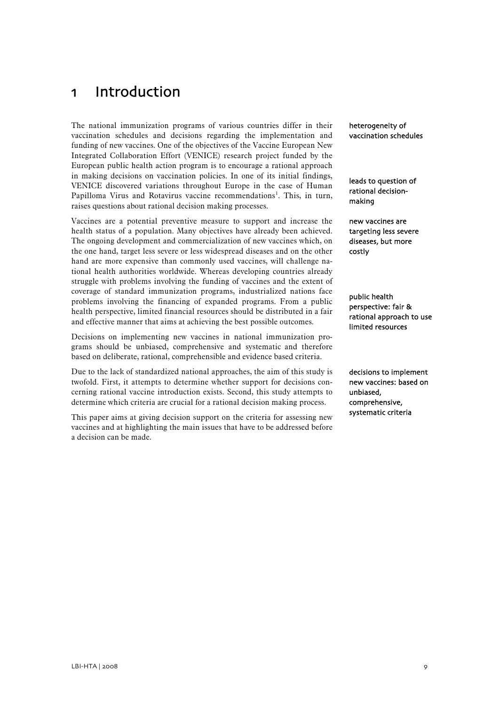# <span id="page-10-0"></span>1 Introduction

The national immunization programs of various countries differ in their vaccination schedules and decisions regarding the implementation and funding of new vaccines. One of the objectives of the Vaccine European New Integrated Collaboration Effort (VENICE) research project funded by the European public health action program is to encourage a rational approach in making decisions on vaccination policies. In one of its initial findings, VENICE discovered variations throughout Europe in the case of Human Papilloma Virus and Rotavirus vaccine recommendations<sup>[1](#page-32-1)</sup>. This, in turn, raises questions about rational decision making processes.

Vaccines are a potential preventive measure to support and increase the health status of a population. Many objectives have already been achieved. The ongoing development and commercialization of new vaccines which, on the one hand, target less severe or less widespread diseases and on the other hand are more expensive than commonly used vaccines, will challenge national health authorities worldwide. Whereas developing countries already struggle with problems involving the funding of vaccines and the extent of coverage of standard immunization programs, industrialized nations face problems involving the financing of expanded programs. From a public health perspective, limited financial resources should be distributed in a fair and effective manner that aims at achieving the best possible outcomes.

Decisions on implementing new vaccines in national immunization programs should be unbiased, comprehensive and systematic and therefore based on deliberate, rational, comprehensible and evidence based criteria.

Due to the lack of standardized national approaches, the aim of this study is twofold. First, it attempts to determine whether support for decisions concerning rational vaccine introduction exists. Second, this study attempts to determine which criteria are crucial for a rational decision making process.

This paper aims at giving decision support on the criteria for assessing new vaccines and at highlighting the main issues that have to be addressed before a decision can be made.

heterogeneity of vaccination schedules

leads to question of rational decisionmaking

new vaccines are targeting less severe diseases, but more costly

public health perspective: fair & rational approach to use limited resources

decisions to implement new vaccines: based on unbiased, comprehensive, systematic criteria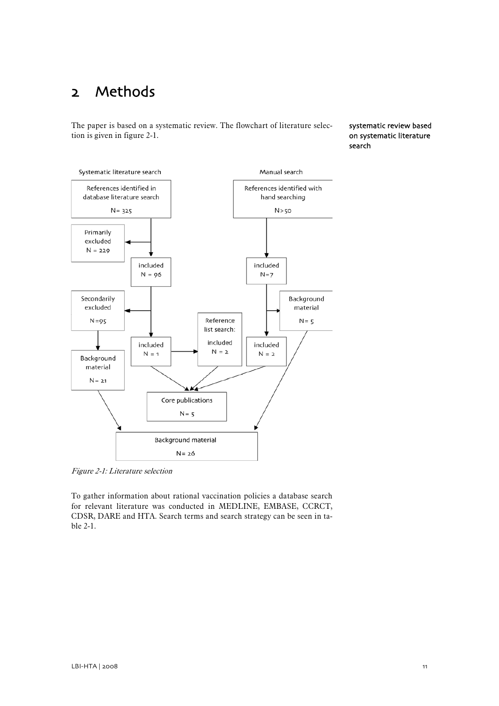# <span id="page-12-0"></span>2 Methods

The paper is based on a systematic review. The flowchart of literature selection is given in figure 2-1.

systematic review based on systematic literature search



Figure 2-1: Literature selection

To gather information about rational vaccination policies a database search for relevant literature was conducted in MEDLINE, EMBASE, CCRCT, CDSR, DARE and HTA. Search terms and search strategy can be seen in table 2-1.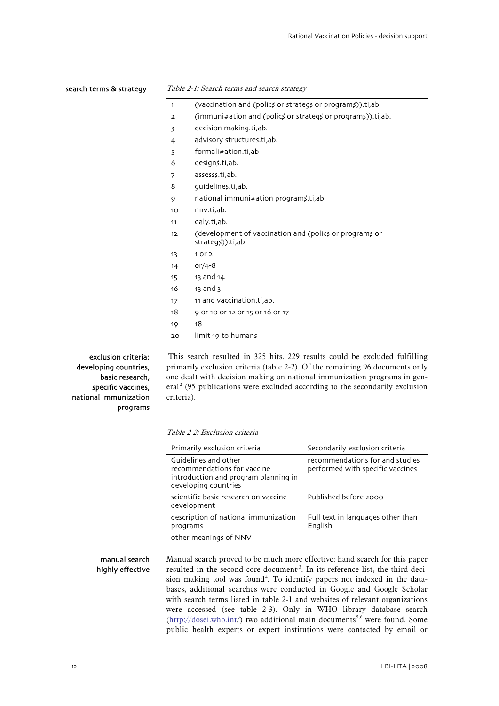#### <span id="page-13-0"></span>search terms & strategy

#### Table 2-1: Search terms and search strategy

|  |  | (vaccination and (polics or strategs or programs)).ti,ab. |  |
|--|--|-----------------------------------------------------------|--|
|--|--|-----------------------------------------------------------|--|

- 2 (immuni#ation and (polics or strategs or programs)).ti,ab.
- 3 decision making.ti,ab.
- 4 advisory structures.ti,ab.
- 5 formali#ation.ti,ab
- 6 design\$.ti,ab.
- 7 assess\$.ti,ab.
- 8 guidelines.ti,ab.
- 9 national immuni#ation program\$.ti,ab.
- 10 nnv.ti,ab.
- 11 qaly.ti,ab.
- 12 (development of vaccination and (polics or programs or strategs)).ti,ab.
- 13 1 or 2
- 14 or/4-8
- 15 13 and 14
- 16 13 and 3
- 17 11 and vaccination.ti,ab.
- 18 9 or 10 or 12 or 15 or 16 or 17
- 19 18
- 20 limit 19 to humans

exclusion criteria: developing countries, basic research, specific vaccines, national immunization programs

 This search resulted in 325 hits. 229 results could be excluded fulfilling primarily exclusion criteria (table 2-2). Of the remaining 96 documents only one dealt with decision making on national immunization programs in gen- $eral<sup>2</sup>$  $eral<sup>2</sup>$  $eral<sup>2</sup>$  (95 publications were excluded according to the secondarily exclusion criteria).

#### Table 2-2: Exclusion criteria

| Primarily exclusion criteria                                                                                        | Secondarily exclusion criteria                                      |  |
|---------------------------------------------------------------------------------------------------------------------|---------------------------------------------------------------------|--|
| Guidelines and other<br>recommendations for vaccine<br>introduction and program planning in<br>developing countries | recommendations for and studies<br>performed with specific vaccines |  |
| scientific basic research on vaccine<br>development                                                                 | Published before 2000                                               |  |
| description of national immunization<br>programs                                                                    | Full text in languages other than<br>English                        |  |
| other meanings of NNV                                                                                               |                                                                     |  |

manual search highly effective Manual search proved to be much more effective: hand search for this paper resulted in the second core document<sup>[3](#page-34-2)</sup>. In its reference list, the third deci-sion making tool was found<sup>[4](#page-34-3)</sup>. To identify papers not indexed in the databases, additional searches were conducted in Google and Google Scholar with search terms listed in table 2-1 and websites of relevant organizations were accessed (see table 2-3). Only in WHO library database search  $(http://dosei.who.int/)$  two additional main documents<sup>[5,](#page-36-1)[6](#page-54-0)</sup> were found. Some public health experts or expert institutions were contacted by email or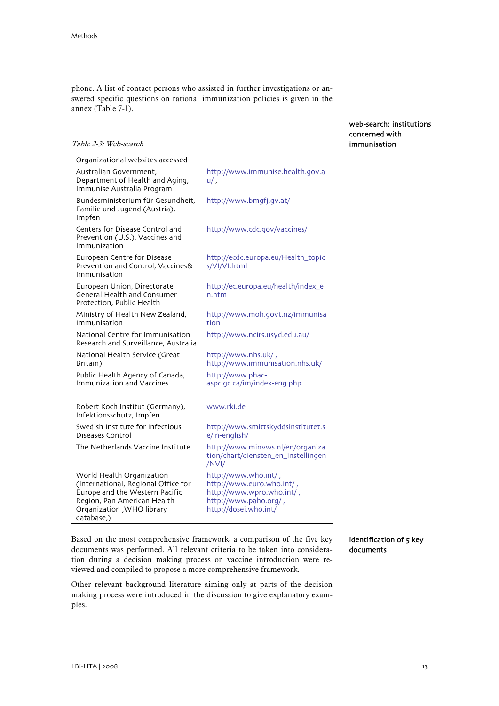Table 2-3: Web-search

<span id="page-14-0"></span>phone. A list of contact persons who assisted in further investigations or answered specific questions on rational immunization policies is given in the annex (Table 7-1).

> web-search: institutions concerned with immunisation

| Organizational websites accessed                                                               |                                                        |
|------------------------------------------------------------------------------------------------|--------------------------------------------------------|
| Australian Government,<br>Department of Health and Aging,<br>Immunise Australia Program        | http://www.immunise.health.gov.a<br>$u/$ ,             |
| Bundesministerium für Gesundheit,<br>Familie und Jugend (Austria),<br>Impfen                   | http://www.bmgfj.gv.at/                                |
| Centers for Disease Control and<br>Prevention (U.S.), Vaccines and<br>Immunization             | http://www.cdc.gov/vaccines/                           |
| European Centre for Disease<br>Prevention and Control, Vaccines&<br>Immunisation               | http://ecdc.europa.eu/Health_topic<br>s/VI/VI.html     |
| European Union, Directorate<br><b>General Health and Consumer</b><br>Protection, Public Health | http://ec.europa.eu/health/index_e<br>n.htm            |
| Ministry of Health New Zealand,<br>Immunisation                                                | http://www.moh.govt.nz/immunisa<br>tion                |
| National Centre for Immunisation<br>Research and Surveillance, Australia                       | http://www.ncirs.usyd.edu.au/                          |
| National Health Service (Great<br>Britain)                                                     | http://www.nhs.uk/,<br>http://www.immunisation.nhs.uk/ |
| Public Health Agency of Canada,<br><b>Immunization and Vaccines</b>                            | http://www.phac-<br>aspc.gc.ca/im/index-eng.php        |
| Robert Koch Institut (Germany),<br>Infektionsschutz, Impfen                                    | www.rki.de                                             |

Swedish Institute for Infectious Diseases Control http://www.smittskyddsinstitutet.s e/in-english/ The Netherlands Vaccine Institute http://www.minvws.nl/en/organiza tion/chart/diensten\_en\_instellingen /NVI/ World Health Organization http://www.who.int/ ,

(International, Regional Office for Europe and the Western Pacific Region, Pan American Health Organization ,WHO library database,) http://www.euro.who.int/ , http://www.wpro.who.int/ , http://www.paho.org/ , http://dosei.who.int/

> identification of 5 key documents

Based on the most comprehensive framework, a comparison of the five key documents was performed. All relevant criteria to be taken into consideration during a decision making process on vaccine introduction were reviewed and compiled to propose a more comprehensive framework.

Other relevant background literature aiming only at parts of the decision making process were introduced in the discussion to give explanatory examples.

 $LBI+HTA \mid 2008$  13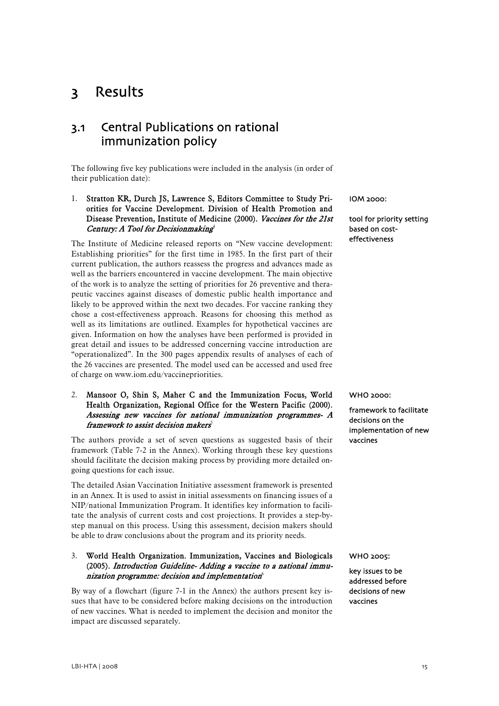# <span id="page-16-0"></span>3 Results

## 3.1 Central Publications on rational immunization policy

The following five key publications were included in the analysis (in order of their publication date):

### 1. Stratton KR, Durch JS, Lawrence S, Editors Committee to Study Priorities for Vaccine Development. Division of Health Promotion and Disease Prevention, Institute of Medicine (2000). Vaccines for the 21st Century: A Tool for Decision making<sup>4</sup>

The Institute of Medicine released reports on "New vaccine development: Establishing priorities" for the first time in 1985. In the first part of their current publication, the authors reassess the progress and advances made as well as the barriers encountered in vaccine development. The main objective of the work is to analyze the setting of priorities for 26 preventive and therapeutic vaccines against diseases of domestic public health importance and likely to be approved within the next two decades. For vaccine ranking they chose a cost-effectiveness approach. Reasons for choosing this method as well as its limitations are outlined. Examples for hypothetical vaccines are given. Information on how the analyses have been performed is provided in great detail and issues to be addressed concerning vaccine introduction are "operationalized". In the 300 pages appendix results of analyses of each of the 26 vaccines are presented. The model used can be accessed and used free of charge on www.iom.edu/vaccinepriorities.

### 2. Mansoor O, Shin S, Maher C and the Immunization Focus, World Health Organization, Regional Office for the Western Pacific (2000). Assessing new vaccines for national immunization programmes- A framework to assist decision makers $\delta$

The authors provide a set of seven questions as suggested basis of their framework (Table 7-2 in the Annex). Working through these key questions should facilitate the decision making process by providing more detailed ongoing questions for each issue.

The detailed Asian Vaccination Initiative assessment framework is presented in an Annex. It is used to assist in initial assessments on financing issues of a NIP/national Immunization Program. It identifies key information to facilitate the analysis of current costs and cost projections. It provides a step-bystep manual on this process. Using this assessment, decision makers should be able to draw conclusions about the program and its priority needs.

### 3. World Health Organization. Immunization, Vaccines and Biologicals (2005). Introduction Guideline- Adding a vaccine to a national immunization programme: decision and implementation $^6$

By way of a flowchart (figure 7-1 in the Annex) the authors present key issues that have to be considered before making decisions on the introduction of new vaccines. What is needed to implement the decision and monitor the impact are discussed separately.

IOM 2000:

tool for priority setting based on costeffectiveness

WHO 2000:

framework to facilitate decisions on the implementation of new vaccines

#### WHO 2005:

key issues to be addressed before decisions of new vaccines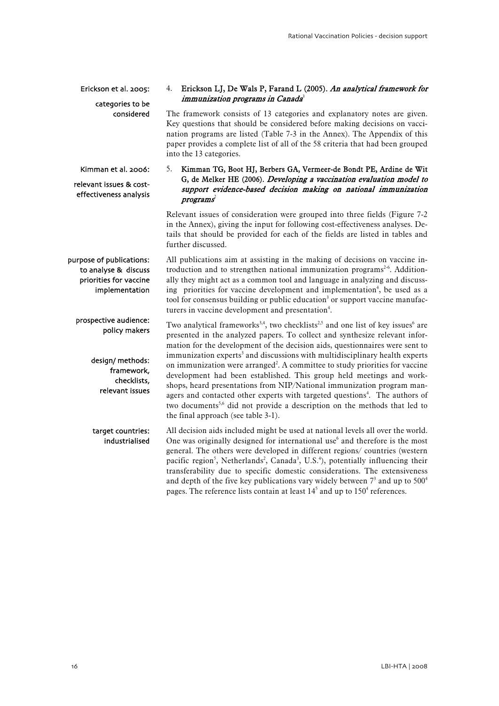Erickson et al. 2005:

#### 4. Erickson LJ, De Wals P, Farand L (2005). An analytical framework for immunization programs in Canada<sup>3</sup>

categories to be considered

The framework consists of 13 categories and explanatory notes are given. Key questions that should be considered before making decisions on vaccination programs are listed (Table 7-3 in the Annex). The Appendix of this paper provides a complete list of all of the 58 criteria that had been grouped into the 13 categories.

Kimman et al. 2006:

relevant issues & costeffectiveness analysis

policy makers

design/ methods: framework, checklists, relevant issues

### 5. Kimman TG, Boot HJ, Berbers GA, Vermeer-de Bondt PE, Ardine de Wit G, de Melker HE (2006). Developing a vaccination evaluation model to support evidence-based decision making on national immunization  $programs<sup>2</sup>$

Relevant issues of consideration were grouped into three fields (Figure 7-2 in the Annex), giving the input for following cost-effectiveness analyses. Details that should be provided for each of the fields are listed in tables and further discussed.

All publications aim at assisting in the making of decisions on vaccine introduction and to strengthen national immunization programs<sup>2-6</sup>. Additionally they might act as a common tool and language in analyzing and discussing priorities for vaccine development and implementation<sup>4</sup>, be used as a tool for consensus building or public education<sup>3</sup> or support vaccine manufacturers in vaccine development and presentation<sup>4</sup>. purpose of publications: to analyse & discuss priorities for vaccine implementation prospective audience:

Two analytical frameworks<sup>3,4</sup>, two checklists<sup>2,5</sup> and one list of key issues<sup>6</sup> are presented in the analyzed papers. To collect and synthesize relevant information for the development of the decision aids, questionnaires were sent to immunization experts<sup>3</sup> and discussions with multidisciplinary health experts on immunization were arranged<sup>2</sup>. A committee to study priorities for vaccine development had been established. This group held meetings and workshops, heard presentations from NIP/National immunization program managers and contacted other experts with targeted questions<sup>4</sup>. The authors of two documents<sup>5,6</sup> did not provide a description on the methods that led to the final approach (see table 3-1).

All decision aids included might be used at national levels all over the world. One was originally designed for international use<sup>6</sup> and therefore is the most general. The others were developed in different regions/ countries (western pacific region<sup>5</sup>, Netherlands<sup>2</sup>, Canada<sup>3</sup>, U.S.<sup>4</sup>), potentially influencing their transferability due to specific domestic considerations. The extensiveness and depth of the five key publications vary widely between  $7<sup>3</sup>$  and up to  $500<sup>4</sup>$ pages. The reference lists contain at least  $14<sup>5</sup>$  and up to  $150<sup>4</sup>$  references. target countries: industrialised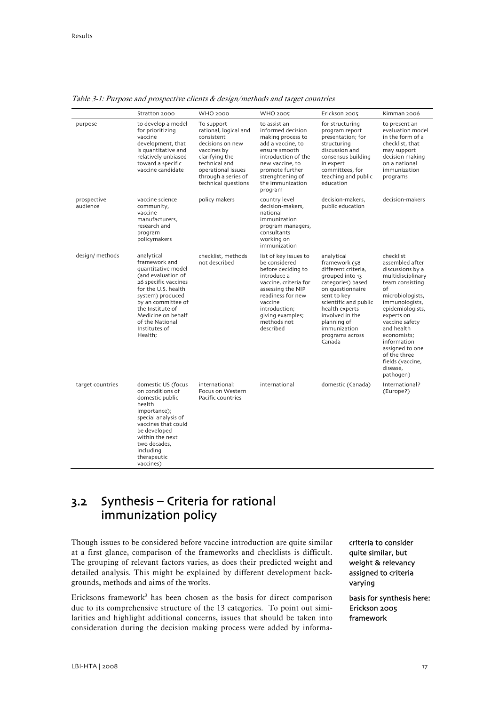|                         | Stratton 2000                                                                                                                                                                                                                                             | <b>WHO 2000</b>                                                                                                                                                                             | <b>WHO 2005</b>                                                                                                                                                                                                            | Erickson 2005                                                                                                                                                                                                                                           | Kimman 2006                                                                                                                                                                                                                                                                                                          |
|-------------------------|-----------------------------------------------------------------------------------------------------------------------------------------------------------------------------------------------------------------------------------------------------------|---------------------------------------------------------------------------------------------------------------------------------------------------------------------------------------------|----------------------------------------------------------------------------------------------------------------------------------------------------------------------------------------------------------------------------|---------------------------------------------------------------------------------------------------------------------------------------------------------------------------------------------------------------------------------------------------------|----------------------------------------------------------------------------------------------------------------------------------------------------------------------------------------------------------------------------------------------------------------------------------------------------------------------|
| purpose                 | to develop a model<br>for prioritizing<br>vaccine<br>development, that<br>is quantitative and<br>relatively unbiased<br>toward a specific<br>vaccine candidate                                                                                            | To support<br>rational, logical and<br>consistent<br>decisions on new<br>vaccines by<br>clarifying the<br>technical and<br>operational issues<br>through a series of<br>technical questions | to assist an<br>informed decision<br>making process to<br>add a vaccine, to<br>ensure smooth<br>introduction of the<br>new vaccine, to<br>promote further<br>strenghtening of<br>the immunization<br>program               | for structuring<br>program report<br>presentation; for<br>structuring<br>discussion and<br>consensus building<br>in expert<br>committees, for<br>teaching and public<br>education                                                                       | to present an<br>evaluation model<br>in the form of a<br>checklist, that<br>may support<br>decision making<br>on a national<br>immunization<br>programs                                                                                                                                                              |
| prospective<br>audience | vaccine science<br>community,<br>vaccine<br>manufacturers,<br>research and<br>program<br>policymakers                                                                                                                                                     | policy makers                                                                                                                                                                               | country level<br>decision-makers,<br>national<br>immunization<br>program managers,<br>consultants<br>working on<br>immunization                                                                                            | decision-makers.<br>public education                                                                                                                                                                                                                    | decision-makers                                                                                                                                                                                                                                                                                                      |
| design/ methods         | analytical<br>framework and<br>quantitative model<br>(and evaluation of<br>26 specific vaccines<br>for the U.S. health<br>system) produced<br>by an committee of<br>the Institute of<br>Medicine on behalf<br>of the National<br>Institutes of<br>Health; | checklist, methods<br>not described                                                                                                                                                         | list of key issues to<br>be considered<br>before deciding to<br>introduce a<br>vaccine, criteria for<br>assessing the NIP<br>readiness for new<br>vaccine<br>introduction;<br>giving examples;<br>methods not<br>described | analytical<br>framework (58<br>different criteria,<br>grouped into 13<br>categories) based<br>on questionnaire<br>sent to key<br>scientific and public<br>health experts<br>involved in the<br>planning of<br>immunization<br>programs across<br>Canada | checklist<br>assembled after<br>discussions by a<br>multidisciplinary<br>team consisting<br>οf<br>microbiologists,<br>immunologists,<br>epidemiologists,<br>experts on<br>vaccine safety<br>and health<br>economists:<br>information<br>assigned to one<br>of the three<br>fields (vaccine,<br>disease,<br>pathogen) |
| target countries        | domestic US (focus<br>on conditions of<br>domestic public<br>health<br>importance);<br>special analysis of<br>vaccines that could<br>be developed<br>within the next<br>two decades,<br>including<br>therapeutic<br>vaccines)                             | international:<br>Focus on Western<br>Pacific countries                                                                                                                                     | international                                                                                                                                                                                                              | domestic (Canada)                                                                                                                                                                                                                                       | International?<br>(Europe?)                                                                                                                                                                                                                                                                                          |

<span id="page-18-0"></span>Table 3-1: Purpose and prospective clients & design/methods and target countries

# 3.2 Synthesis – Criteria for rational immunization policy

Though issues to be considered before vaccine introduction are quite similar at a first glance, comparison of the frameworks and checklists is difficult. The grouping of relevant factors varies, as does their predicted weight and detailed analysis. This might be explained by different development backgrounds, methods and aims of the works.

Ericksons framework<sup>3</sup> has been chosen as the basis for direct comparison due to its comprehensive structure of the 13 categories. To point out similarities and highlight additional concerns, issues that should be taken into consideration during the decision making process were added by informacriteria to consider quite similar, but weight & relevancy assigned to criteria varying

basis for synthesis here: Erickson 2005 framework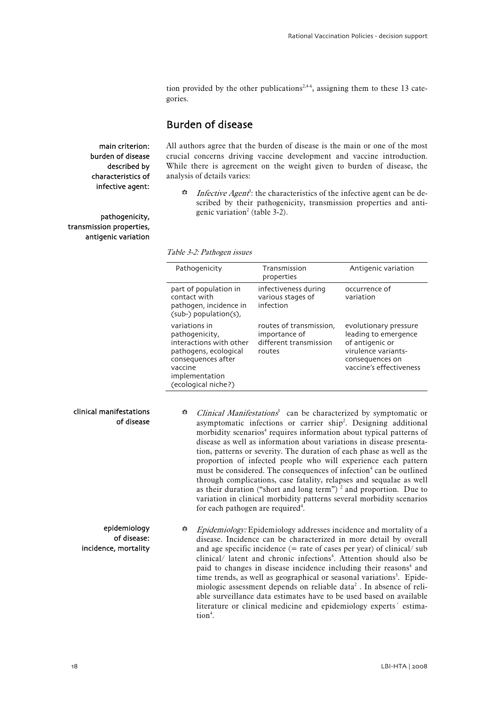tion provided by the other publications<sup>2,4-6</sup>, assigning them to these 13 categories.

### Burden of disease

<span id="page-19-0"></span>main criterion: burden of disease described by characteristics of infective agent:

pathogenicity, transmission properties, antigenic variation All authors agree that the burden of disease is the main or one of the most crucial concerns driving vaccine development and vaccine introduction. While there is agreement on the weight given to burden of disease, the analysis of details varies:

 $\ddot{\bullet}$  Infective Agent<sup>3</sup>: the characteristics of the infective agent can be described by their pathogenicity, transmission properties and antigenic variation<sup>2</sup> (table 3-2).

Table 3-2: Pathogen issues

| Pathogenicity                                                                                                                                                 | Transmission<br>properties                                                   | Antigenic variation                                                                                                                   |
|---------------------------------------------------------------------------------------------------------------------------------------------------------------|------------------------------------------------------------------------------|---------------------------------------------------------------------------------------------------------------------------------------|
| part of population in<br>contact with<br>pathogen, incidence in<br>(sub-) population(s),                                                                      | infectiveness during<br>various stages of<br>infection                       | occurrence of<br>variation                                                                                                            |
| variations in<br>pathogenicity,<br>interactions with other<br>pathogens, ecological<br>consequences after<br>vaccine<br>implementation<br>(ecological niche?) | routes of transmission,<br>importance of<br>different transmission<br>routes | evolutionary pressure<br>leading to emergence<br>of antigenic or<br>virulence variants-<br>consequences on<br>vaccine's effectiveness |

#### clinical manifestations of disease

epidemiology of disease:

incidence, mortality

- G Clinical Manifestations<sup>3</sup> can be characterized by symptomatic or asymptomatic infections or carrier ship<sup>2</sup>. Designing additional morbidity scenarios<sup>4</sup> requires information about typical patterns of disease as well as information about variations in disease presentation, patterns or severity. The duration of each phase as well as the proportion of infected people who will experience each pattern must be considered. The consequences of infection<sup>4</sup> can be outlined through complications, case fatality, relapses and sequalae as well as their duration ("short and long term")<sup>2</sup> and proportion. Due to variation in clinical morbidity patterns several morbidity scenarios for each pathogen are required<sup>4</sup>.
- $\ddot{\bullet}$  Epidemiology: Epidemiology addresses incidence and mortality of a disease. Incidence can be characterized in more detail by overall and age specific incidence  $(=$  rate of cases per year) of clinical/sub clinical/ latent and chronic infections<sup>4</sup>. Attention should also be paid to changes in disease incidence including their reasons<sup>4</sup> and time trends, as well as geographical or seasonal variations<sup>3</sup>. Epidemiologic assessment depends on reliable data<sup>2</sup>. In absence of reliable surveillance data estimates have to be used based on available literature or clinical medicine and epidemiology experts´ estimation<sup>4</sup>.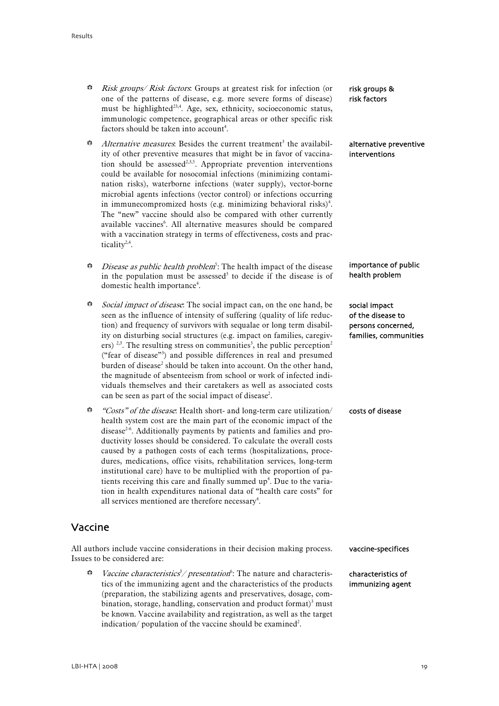- <span id="page-20-0"></span>**B** Risk groups/ Risk factors: Groups at greatest risk for infection (or one of the patterns of disease, e.g. more severe forms of disease) must be highlighted<sup>23,4</sup>. Age, sex, ethnicity, socioeconomic status, immunologic competence, geographical areas or other specific risk factors should be taken into account<sup>4</sup>.
- Alternative measures. Besides the current treatment<sup>3</sup> the availability of other preventive measures that might be in favor of vaccination should be assessed<sup>2,3,5</sup>. Appropriate prevention interventions could be available for nosocomial infections (minimizing contamination risks), waterborne infections (water supply), vector-borne microbial agents infections (vector control) or infections occurring in immunecompromized hosts (e.g. minimizing behavioral risks)<sup>4</sup>. The "new" vaccine should also be compared with other currently available vaccines<sup>6</sup>. All alternative measures should be compared with a vaccination strategy in terms of effectiveness, costs and practicality<sup>2,4</sup>.
- $b^*$  *Disease as public health problem*<sup>5</sup>: The health impact of the disease in the population must be assessed<sup>3</sup> to decide if the disease is of domestic health importance<sup>4</sup>.
- $\ddot{\bullet}$  Social impact of disease. The social impact can, on the one hand, be seen as the influence of intensity of suffering (quality of life reduction) and frequency of survivors with sequalae or long term disability on disturbing social structures (e.g. impact on families, caregivers)<sup>2,3</sup>. The resulting stress on communities<sup>3</sup>, the public perception<sup>2</sup> ("fear of disease"3 ) and possible differences in real and presumed burden of disease<sup>2</sup> should be taken into account. On the other hand, the magnitude of absenteeism from school or work of infected individuals themselves and their caretakers as well as associated costs can be seen as part of the social impact of disease<sup>2</sup>.
- $\ddot{\bullet}$  "Costs" of the disease: Health short- and long-term care utilization/ health system cost are the main part of the economic impact of the disease<sup>2-6</sup>. Additionally payments by patients and families and productivity losses should be considered. To calculate the overall costs caused by a pathogen costs of each terms (hospitalizations, procedures, medications, office visits, rehabilitation services, long-term institutional care) have to be multiplied with the proportion of patients receiving this care and finally summed  $up<sup>4</sup>$ . Due to the variation in health expenditures national data of "health care costs" for all services mentioned are therefore necessary<sup>4</sup>.

### Vaccine

All authors include vaccine considerations in their decision making process. Issues to be considered are:

 $\ddot{\bullet}$  Vaccine characteristics<sup>3</sup>/ presentation<sup>6</sup>: The nature and characteristics of the immunizing agent and the characteristics of the products (preparation, the stabilizing agents and preservatives, dosage, combination, storage, handling, conservation and product format) $3$  must be known. Vaccine availability and registration, as well as the target indication/ population of the vaccine should be examined<sup>2</sup>.

risk groups & risk factors

alternative preventive interventions

importance of public health problem

social impact of the disease to persons concerned, families, communities

costs of disease

vaccine-specifices

characteristics of immunizing agent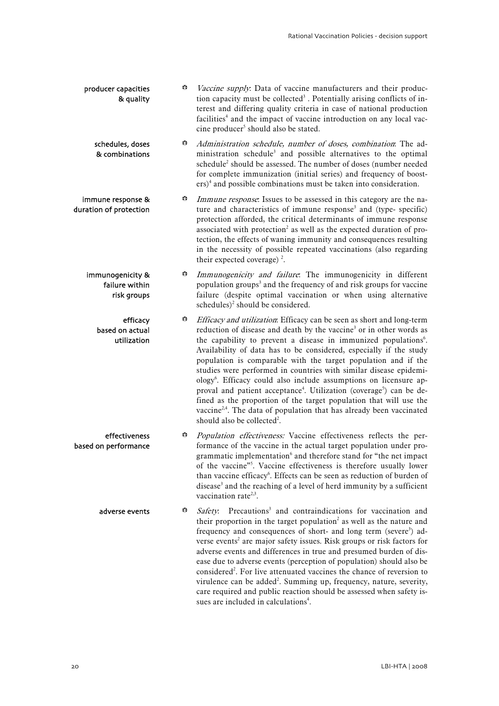| producer capacities<br>& quality                  | ₩ | Vaccine supply. Data of vaccine manufacturers and their produc-<br>tion capacity must be collected <sup>3</sup> . Potentially arising conflicts of in-<br>terest and differing quality criteria in case of national production<br>facilities <sup>4</sup> and the impact of vaccine introduction on any local vac-<br>cine producer <sup>5</sup> should also be stated.                                                                                                                                                                                                                                                                                                                                                                                                                                                                    |
|---------------------------------------------------|---|--------------------------------------------------------------------------------------------------------------------------------------------------------------------------------------------------------------------------------------------------------------------------------------------------------------------------------------------------------------------------------------------------------------------------------------------------------------------------------------------------------------------------------------------------------------------------------------------------------------------------------------------------------------------------------------------------------------------------------------------------------------------------------------------------------------------------------------------|
| schedules, doses<br>& combinations                | ₩ | Administration schedule, number of doses, combination. The ad-<br>ministration schedule <sup>3</sup> and possible alternatives to the optimal<br>schedule <sup>2</sup> should be assessed. The number of doses (number needed<br>for complete immunization (initial series) and frequency of boost-<br>$\text{ers})^4$ and possible combinations must be taken into consideration.                                                                                                                                                                                                                                                                                                                                                                                                                                                         |
| immune response &<br>duration of protection       | ₩ | Immune response. Issues to be assessed in this category are the na-<br>ture and characteristics of immune response <sup>3</sup> and (type- specific)<br>protection afforded, the critical determinants of immune response<br>associated with protection <sup>2</sup> as well as the expected duration of pro-<br>tection, the effects of waning immunity and consequences resulting<br>in the necessity of possible repeated vaccinations (also regarding<br>their expected coverage) $^{2}$ .                                                                                                                                                                                                                                                                                                                                             |
| immunogenicity &<br>failure within<br>risk groups | ₩ | Immunogenicity and failure. The immunogenicity in different<br>population groups <sup>3</sup> and the frequency of and risk groups for vaccine<br>failure (despite optimal vaccination or when using alternative<br>schedules) <sup>2</sup> should be considered.                                                                                                                                                                                                                                                                                                                                                                                                                                                                                                                                                                          |
| efficacy<br>based on actual<br>utilization        | ₩ | Efficacy and utilization: Efficacy can be seen as short and long-term<br>reduction of disease and death by the vaccine <sup>3</sup> or in other words as<br>the capability to prevent a disease in immunized populations <sup>6</sup> .<br>Availability of data has to be considered, especially if the study<br>population is comparable with the target population and if the<br>studies were performed in countries with similar disease epidemi-<br>ology <sup>6</sup> . Efficacy could also include assumptions on licensure ap-<br>proval and patient acceptance <sup>4</sup> . Utilization (coverage <sup>5</sup> ) can be de-<br>fined as the proportion of the target population that will use the<br>vaccine <sup>2,4</sup> . The data of population that has already been vaccinated<br>should also be collected <sup>2</sup> . |
| effectiveness<br>based on performance             | ₩ | Population effectiveness: Vaccine effectiveness reflects the per-<br>formance of the vaccine in the actual target population under pro-<br>grammatic implementation <sup>6</sup> and therefore stand for "the net impact<br>of the vaccine" <sup>5</sup> . Vaccine effectiveness is therefore usually lower<br>than vaccine efficacy <sup>6</sup> . Effects can be seen as reduction of burden of<br>disease <sup>3</sup> and the reaching of a level of herd immunity by a sufficient<br>vaccination rate <sup>2,3</sup> .                                                                                                                                                                                                                                                                                                                |
| adverse events                                    | ₩ | Safety. Precautions <sup>3</sup> and contraindications for vaccination and<br>their proportion in the target population <sup>2</sup> as well as the nature and<br>frequency and consequences of short- and long term (severe <sup>3</sup> ) ad-<br>verse events <sup>2</sup> are major safety issues. Risk groups or risk factors for<br>adverse events and differences in true and presumed burden of dis-<br>ease due to adverse events (perception of population) should also be<br>considered <sup>2</sup> . For live attenuated vaccines the chance of reversion to<br>virulence can be added <sup>2</sup> . Summing up, frequency, nature, severity,<br>care required and public reaction should be assessed when safety is-                                                                                                         |

sues are included in calculations<sup>4</sup>.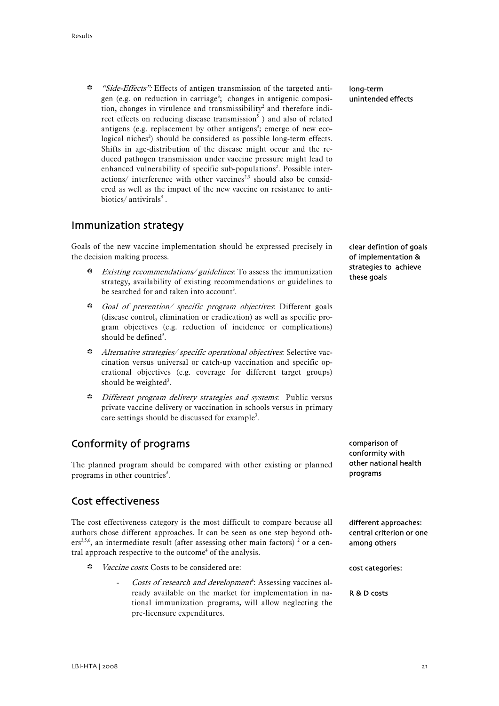<span id="page-22-0"></span>Side-Effects": Effects of antigen transmission of the targeted antigen (e.g. on reduction in carriage<sup>3</sup>; changes in antigenic composition, changes in virulence and transmissibility<sup>2</sup> and therefore indirect effects on reducing disease transmission<sup>5</sup>) and also of related antigens (e.g. replacement by other antigens<sup>3</sup>; emerge of new ecological niches<sup>2</sup>) should be considered as possible long-term effects. Shifts in age-distribution of the disease might occur and the reduced pathogen transmission under vaccine pressure might lead to enhanced vulnerability of specific sub-populations<sup>2</sup>. Possible interactions/ interference with other vaccines<sup>2,3</sup> should also be considered as well as the impact of the new vaccine on resistance to antibiotics/ $antivirals<sup>3</sup>$ .

### Immunization strategy

Goals of the new vaccine implementation should be expressed precisely in the decision making process.

- $B$  Existing recommendations/ guidelines. To assess the immunization strategy, availability of existing recommendations or guidelines to be searched for and taken into account<sup>3</sup>.
- Goal of prevention/ specific program objectives. Different goals (disease control, elimination or eradication) as well as specific program objectives (e.g. reduction of incidence or complications) should be defined<sup>3</sup>.
- **Alternative strategies/ specific operational objectives: Selective vac**cination versus universal or catch-up vaccination and specific operational objectives (e.g. coverage for different target groups) should be weighted<sup>3</sup>.
- **B** Different program delivery strategies and systems. Public versus private vaccine delivery or vaccination in schools versus in primary care settings should be discussed for example<sup>3</sup>.

## Conformity of programs

The planned program should be compared with other existing or planned programs in other countries<sup>3</sup>.

### Cost effectiveness

The cost effectiveness category is the most difficult to compare because all authors chose different approaches. It can be seen as one step beyond others<sup>3,5,6</sup>, an intermediate result (after assessing other main factors)<sup>2</sup> or a central approach respective to the outcome<sup>4</sup> of the analysis.

- **b** Vaccine costs: Costs to be considered are:
	- Costs of research and development<sup>4</sup>: Assessing vaccines already available on the market for implementation in national immunization programs, will allow neglecting the pre-licensure expenditures.

long-term unintended effects

clear defintion of goals of implementation & strategies to achieve these goals

comparison of conformity with other national health programs

different approaches: central criterion or one among others

cost categories:

R & D costs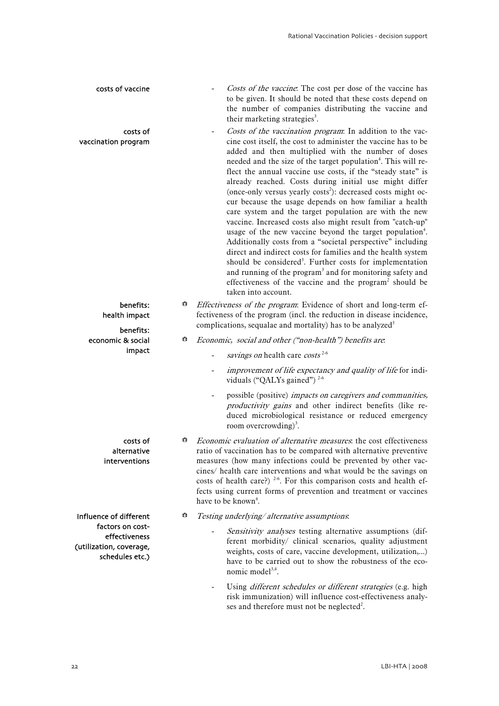| costs of vaccine                                                                |   | Costs of the vaccine. The cost per dose of the vaccine has<br>to be given. It should be noted that these costs depend on<br>the number of companies distributing the vaccine and<br>their marketing strategies <sup>3</sup> .                                                                                                                                                                                                                                                                                                                                                                                                                                                                                                                                                                                                                                                                                                                                                                                                                                                                               |
|---------------------------------------------------------------------------------|---|-------------------------------------------------------------------------------------------------------------------------------------------------------------------------------------------------------------------------------------------------------------------------------------------------------------------------------------------------------------------------------------------------------------------------------------------------------------------------------------------------------------------------------------------------------------------------------------------------------------------------------------------------------------------------------------------------------------------------------------------------------------------------------------------------------------------------------------------------------------------------------------------------------------------------------------------------------------------------------------------------------------------------------------------------------------------------------------------------------------|
| costs of<br>vaccination program                                                 |   | Costs of the vaccination program: In addition to the vac-<br>cine cost itself, the cost to administer the vaccine has to be<br>added and then multiplied with the number of doses<br>needed and the size of the target population <sup>4</sup> . This will re-<br>flect the annual vaccine use costs, if the "steady state" is<br>already reached. Costs during initial use might differ<br>(once-only versus yearly costs <sup>2</sup> ): decreased costs might oc-<br>cur because the usage depends on how familiar a health<br>care system and the target population are with the new<br>vaccine. Increased costs also might result from "catch-up"<br>usage of the new vaccine beyond the target population <sup>4</sup> .<br>Additionally costs from a "societal perspective" including<br>direct and indirect costs for families and the health system<br>should be considered <sup>3</sup> . Further costs for implementation<br>and running of the program <sup>3</sup> and for monitoring safety and<br>effectiveness of the vaccine and the program <sup>2</sup> should be<br>taken into account. |
| benefits:<br>health impact<br>benefits:                                         | ₩ | Effectiveness of the program: Evidence of short and long-term ef-<br>fectiveness of the program (incl. the reduction in disease incidence,<br>complications, sequalae and mortality) has to be analyzed <sup>3</sup>                                                                                                                                                                                                                                                                                                                                                                                                                                                                                                                                                                                                                                                                                                                                                                                                                                                                                        |
| economic & social<br>impact                                                     | ₩ | Economic, social and other ("non-health") benefits are.<br>savings on health care costs <sup>2-6</sup><br>improvement of life expectancy and quality of life for indi-<br>viduals ("QALYs gained") $2-6$<br>possible (positive) impacts on caregivers and communities,<br>productivity gains and other indirect benefits (like re-                                                                                                                                                                                                                                                                                                                                                                                                                                                                                                                                                                                                                                                                                                                                                                          |
|                                                                                 |   | duced microbiological resistance or reduced emergency<br>room overcrowding) <sup>3</sup> .                                                                                                                                                                                                                                                                                                                                                                                                                                                                                                                                                                                                                                                                                                                                                                                                                                                                                                                                                                                                                  |
| costs of<br>alternative<br>interventions                                        | ₩ | Economic evaluation of alternative measures, the cost effectiveness<br>ratio of vaccination has to be compared with alternative preventive<br>measures (how many infections could be prevented by other vac-<br>cines/ health care interventions and what would be the savings on<br>costs of health care?) <sup>2-6</sup> . For this comparison costs and health ef-<br>fects using current forms of prevention and treatment or vaccines<br>have to be known <sup>4</sup> .                                                                                                                                                                                                                                                                                                                                                                                                                                                                                                                                                                                                                               |
| Influence of different                                                          | ₩ | Testing underlying/alternative assumptions.                                                                                                                                                                                                                                                                                                                                                                                                                                                                                                                                                                                                                                                                                                                                                                                                                                                                                                                                                                                                                                                                 |
| factors on cost-<br>effectiveness<br>(utilization, coverage,<br>schedules etc.) |   | Sensitivity analyses testing alternative assumptions (dif-<br>ferent morbidity/ clinical scenarios, quality adjustment<br>weights, costs of care, vaccine development, utilization,)<br>have to be carried out to show the robustness of the eco-<br>nomic model <sup>3,4</sup> .                                                                                                                                                                                                                                                                                                                                                                                                                                                                                                                                                                                                                                                                                                                                                                                                                           |
|                                                                                 |   | Using different schedules or different strategies (e.g. high<br>risk immunization) will influence cost-effectiveness analy-<br>ses and therefore must not be neglected <sup>2</sup> .                                                                                                                                                                                                                                                                                                                                                                                                                                                                                                                                                                                                                                                                                                                                                                                                                                                                                                                       |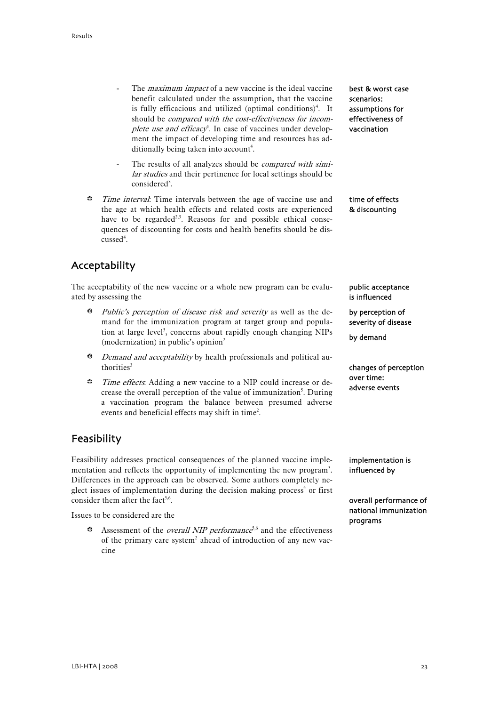- <span id="page-24-0"></span>The *maximum impact* of a new vaccine is the ideal vaccine benefit calculated under the assumption, that the vaccine is fully efficacious and utilized (optimal conditions)<sup>4</sup>. It should be compared with the cost-effectiveness for incomplete use and efficacy<sup>4</sup>. In case of vaccines under development the impact of developing time and resources has additionally being taken into account<sup>4</sup>.
- The results of all analyzes should be *compared with simi*lar studies and their pertinence for local settings should be considered<sup>3</sup>.
- $\ddot{\bullet}$  Time interval: Time intervals between the age of vaccine use and the age at which health effects and related costs are experienced have to be regarded<sup>2,3</sup>. Reasons for and possible ethical consequences of discounting for costs and health benefits should be discussed<sup>4</sup>.

Acceptability

The acceptability of the new vaccine or a whole new program can be evaluated by assessing the

- **Dublic's perception of disease risk and severity as well as the de**mand for the immunization program at target group and population at large level<sup>3</sup>, concerns about rapidly enough changing NIPs (modernization) in public's opinion<sup>2</sup>
- $\ddot{\bullet}$  *Demand and acceptability* by health professionals and political authorities<sup>3</sup>
- $\ddot{\bullet}$  Time effects. Adding a new vaccine to a NIP could increase or decrease the overall perception of the value of immunization<sup>5</sup>. During a vaccination program the balance between presumed adverse events and beneficial effects may shift in time<sup>2</sup>.

## Feasibility

Feasibility addresses practical consequences of the planned vaccine implementation and reflects the opportunity of implementing the new program<sup>3</sup>. Differences in the approach can be observed. Some authors completely neglect issues of implementation during the decision making process<sup>4</sup> or first consider them after the fact<sup>5,6</sup>.

Issues to be considered are the

 $\ddot{\bullet}$  Assessment of the *overall NIP performance*<sup>5,6</sup> and the effectiveness of the primary care system<sup>2</sup> ahead of introduction of any new vaccine

best & worst case scenarios: assumptions for effectiveness of vaccination

time of effects & discounting

public acceptance is influenced

by perception of severity of disease

by demand

changes of perception over time: adverse events

implementation is influenced by

overall performance of national immunization programs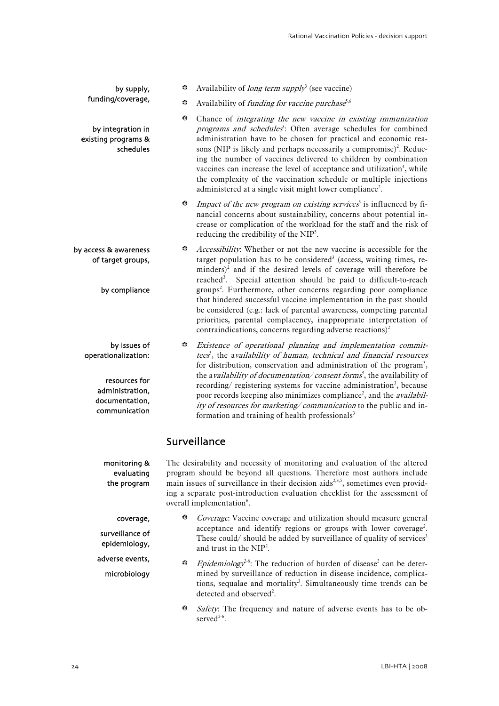<span id="page-25-0"></span>

| by supply,                                                                                                 | ₩                                                                                                                                                    | Availability of <i>long term supply</i> <sup>3</sup> (see vaccine)                                                                                                                                                                                                                                                                                                                                                                                                                                                                                                                                                                                                                           |  |
|------------------------------------------------------------------------------------------------------------|------------------------------------------------------------------------------------------------------------------------------------------------------|----------------------------------------------------------------------------------------------------------------------------------------------------------------------------------------------------------------------------------------------------------------------------------------------------------------------------------------------------------------------------------------------------------------------------------------------------------------------------------------------------------------------------------------------------------------------------------------------------------------------------------------------------------------------------------------------|--|
| funding/coverage,                                                                                          | ₩                                                                                                                                                    | Availability of funding for vaccine purchase <sup>5,6</sup>                                                                                                                                                                                                                                                                                                                                                                                                                                                                                                                                                                                                                                  |  |
| by integration in<br>existing programs &<br>schedules                                                      | ₩                                                                                                                                                    | Chance of integrating the new vaccine in existing immunization<br>programs and schedules <sup>3</sup> : Often average schedules for combined<br>administration have to be chosen for practical and economic rea-<br>sons (NIP is likely and perhaps necessarily a compromise) <sup>2</sup> . Reduc-<br>ing the number of vaccines delivered to children by combination<br>vaccines can increase the level of acceptance and utilization <sup>4</sup> , while<br>the complexity of the vaccination schedule or multiple injections<br>administered at a single visit might lower compliance <sup>2</sup> .                                                                                    |  |
|                                                                                                            | ₩                                                                                                                                                    | Impact of the new program on existing services <sup>3</sup> is influenced by fi-<br>nancial concerns about sustainability, concerns about potential in-<br>crease or complication of the workload for the staff and the risk of<br>reducing the credibility of the NIP <sup>5</sup> .                                                                                                                                                                                                                                                                                                                                                                                                        |  |
| by access & awareness<br>of target groups,<br>by compliance                                                | ₩                                                                                                                                                    | Accessibility. Whether or not the new vaccine is accessible for the<br>target population has to be considered <sup>3</sup> (access, waiting times, re-<br>$minders)^2$ and if the desired levels of coverage will therefore be<br>reached <sup>3</sup> .<br>Special attention should be paid to difficult-to-reach<br>groups <sup>2</sup> . Furthermore, other concerns regarding poor compliance<br>that hindered successful vaccine implementation in the past should<br>be considered (e.g.: lack of parental awareness, competing parental<br>priorities, parental complacency, inappropriate interpretation of<br>contraindications, concerns regarding adverse reactions) <sup>2</sup> |  |
| by issues of<br>operationalization:<br>resources for<br>administration,<br>documentation,<br>communication | ₩                                                                                                                                                    | Existence of operational planning and implementation commit-<br>tees <sup>3</sup> , the availability of human, technical and financial resources<br>for distribution, conservation and administration of the program <sup>3</sup> ,<br>the availability of documentation/consent forms <sup>3</sup> , the availability of<br>recording/ registering systems for vaccine administration <sup>3</sup> , because<br>poor records keeping also minimizes compliance <sup>2</sup> , and the <i>availabil</i> -<br>ity of resources for marketing/communication to the public and in-<br>formation and training of health professionals <sup>3</sup>                                               |  |
|                                                                                                            |                                                                                                                                                      | Surveillance                                                                                                                                                                                                                                                                                                                                                                                                                                                                                                                                                                                                                                                                                 |  |
| monitoring &<br>ovalustina                                                                                 | The desirability and necessity of monitoring and evaluation of the altered<br>program should be beyond all questions. Therefore most authors include |                                                                                                                                                                                                                                                                                                                                                                                                                                                                                                                                                                                                                                                                                              |  |

evaluating the program

microbiology

program should be beyond all questions. Therefore most authors include main issues of surveillance in their decision aids<sup>2,3,5</sup>, sometimes even providing a separate post-introduction evaluation checklist for the assessment of overall implementation<sup>6</sup>.

- Coverage: Vaccine coverage and utilization should measure general acceptance and identify regions or groups with lower coverage<sup>2</sup>. These could/ should be added by surveillance of quality of services<sup>3</sup> and trust in the NIP<sup>2</sup>. coverage, surveillance of epidemiology, adverse events,
	- $\ddot{\bullet}$  Epidemiology<sup>2-6</sup>: The reduction of burden of disease<sup>2</sup> can be determined by surveillance of reduction in disease incidence, complications, sequalae and mortality<sup>3</sup>. Simultaneously time trends can be detected and observed<sup>2</sup>.
	- Safety: The frequency and nature of adverse events has to be observed<sup>2-6</sup>.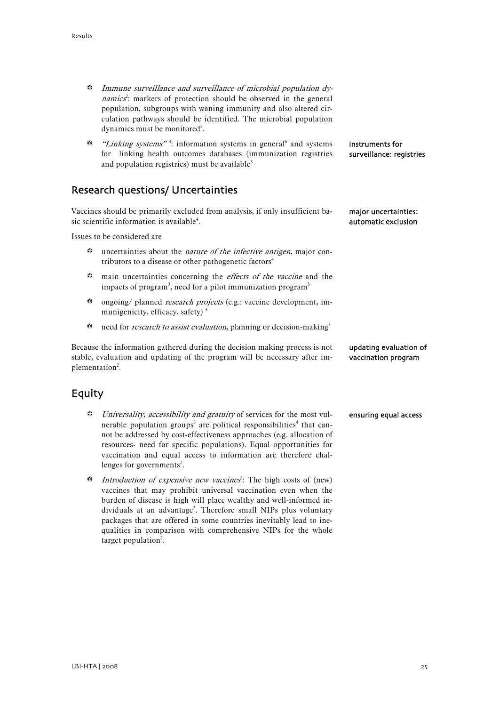- <span id="page-26-0"></span> $\ddot{\bullet}$  Immune surveillance and surveillance of microbial population dynamics<sup>2</sup>: markers of protection should be observed in the general population, subgroups with waning immunity and also altered circulation pathways should be identified. The microbial population dynamics must be monitored<sup>2</sup>.
- **\*** "*Linking systems*"<sup>3</sup>: information systems in general<sup>6</sup> and systems for linking health outcomes databases (immunization registries and population registries) must be available<sup>3</sup> instruments for surveillance: registries

### Research questions/ Uncertainties

Vaccines should be primarily excluded from analysis, if only insufficient basic scientific information is available<sup>4</sup>.

Issues to be considered are

- $\ddot{\bullet}$  uncertainties about the *nature of the infective antigen*, major contributors to a disease or other pathogenetic factors<sup>4</sup>
- $\bullet$  main uncertainties concerning the *effects of the vaccine* and the impacts of program<sup>3</sup>, need for a pilot immunization program<sup>3</sup>
- $\bullet$  ongoing/ planned *research projects* (e.g.: vaccine development, immunigenicity, efficacy, safety)<sup>3</sup>
- $\bullet$  need for *research to assist evaluation*, planning or decision-making<sup>3</sup>

Because the information gathered during the decision making process is not stable, evaluation and updating of the program will be necessary after implementation<sup>2</sup>. updating evaluation of vaccination program

### Equity

- $b$  Universality, accessibility and gratuity of services for the most vulnerable population groups<sup>3</sup> are political responsibilities<sup>4</sup> that cannot be addressed by cost-effectiveness approaches (e.g. allocation of resources- need for specific populations). Equal opportunities for vaccination and equal access to information are therefore challenges for governments<sup>2</sup>. ensuring equal access
- $b^*$  Introduction of expensive new vaccines<sup>2</sup>: The high costs of (new) vaccines that may prohibit universal vaccination even when the burden of disease is high will place wealthy and well-informed individuals at an advantage<sup>2</sup>. Therefore small NIPs plus voluntary packages that are offered in some countries inevitably lead to inequalities in comparison with comprehensive NIPs for the whole target population<sup>2</sup>.

major uncertainties: automatic exclusion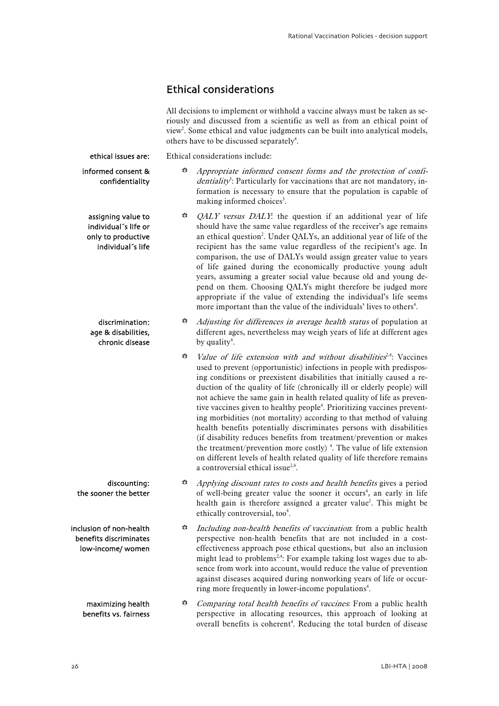### Ethical considerations

Ethical considerations include:

All decisions to implement or withhold a vaccine always must be taken as seriously and discussed from a scientific as well as from an ethical point of view<sup>2</sup>. Some ethical and value judgments can be built into analytical models, others have to be discussed separately<sup>4</sup>.

<span id="page-27-0"></span>ethical issues are:

informed consent & confidentiality

assigning value to individual´s life or only to productive individual´s life

discrimination: age & disabilities, chronic disease

discounting: the sooner the better

inclusion of non-health benefits discriminates low-income/ women

> maximizing health benefits vs. fairness

 $\ddot{\bullet}$  Appropriate informed consent forms and the protection of confi $density<sup>3</sup>$ : Particularly for vaccinations that are not mandatory, information is necessary to ensure that the population is capable of making informed choices<sup>3</sup>.

- $\odot$  *QALY versus DALY*: the question if an additional year of life should have the same value regardless of the receiver's age remains an ethical question<sup>2</sup>. Under QALYs, an additional year of life of the recipient has the same value regardless of the recipient's age. In comparison, the use of DALYs would assign greater value to years of life gained during the economically productive young adult years, assuming a greater social value because old and young depend on them. Choosing QALYs might therefore be judged more appropriate if the value of extending the individual's life seems more important than the value of the individuals' lives to others<sup>4</sup>.
- $\triangle$  Adjusting for differences in average health status of population at different ages, nevertheless may weigh years of life at different ages by quality<sup>4</sup>.
- $b^*$  Value of life extension with and without disabilities<sup>2,4</sup>: Vaccines used to prevent (opportunistic) infections in people with predisposing conditions or preexistent disabilities that initially caused a reduction of the quality of life (chronically ill or elderly people) will not achieve the same gain in health related quality of life as preventive vaccines given to healthy people<sup>4</sup>. Prioritizing vaccines preventing morbidities (not mortality) according to that method of valuing health benefits potentially discriminates persons with disabilities (if disability reduces benefits from treatment/prevention or makes the treatment/prevention more costly)<sup>4</sup>. The value of life extension on different levels of health related quality of life therefore remains a controversial ethical issue<sup>2,4</sup>.
- Applying discount rates to costs and health benefits gives a period of well-being greater value the sooner it occurs<sup>4</sup>, an early in life health gain is therefore assigned a greater value<sup>2</sup>. This might be ethically controversial, too<sup>4</sup>.
- **B** Including non-health benefits of vaccination: from a public health perspective non-health benefits that are not included in a costeffectiveness approach pose ethical questions, but also an inclusion might lead to problems<sup>2,4</sup>: For example taking lost wages due to absence from work into account, would reduce the value of prevention against diseases acquired during nonworking years of life or occurring more frequently in lower-income populations<sup>4</sup>.
- **Comparing total health benefits of vaccines.** From a public health perspective in allocating resources, this approach of looking at overall benefits is coherent<sup>4</sup>. Reducing the total burden of disease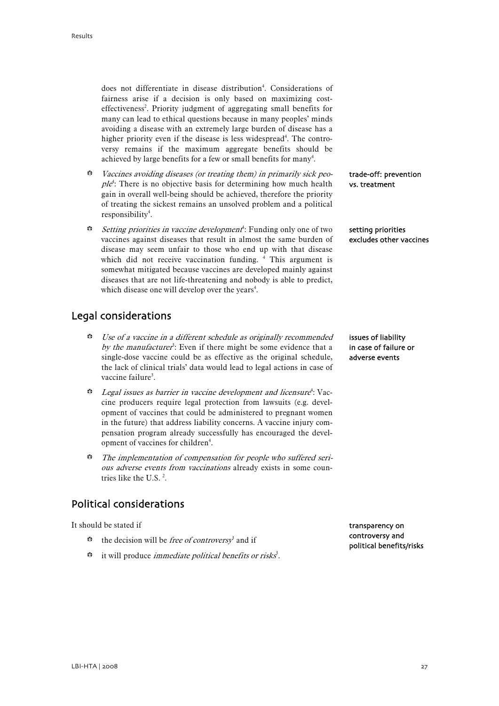<span id="page-28-0"></span>does not differentiate in disease distribution<sup>4</sup>. Considerations of fairness arise if a decision is only based on maximizing costeffectiveness<sup>2</sup>. Priority judgment of aggregating small benefits for many can lead to ethical questions because in many peoples' minds avoiding a disease with an extremely large burden of disease has a higher priority even if the disease is less widespread<sup>4</sup>. The controversy remains if the maximum aggregate benefits should be achieved by large benefits for a few or small benefits for many<sup>4</sup>.

- $\ddot{\bullet}$  Vaccines avoiding diseases (or treating them) in primarily sick peo $ple<sup>4</sup>$ : There is no objective basis for determining how much health gain in overall well-being should be achieved, therefore the priority of treating the sickest remains an unsolved problem and a political responsibility<sup>4</sup>.
- $\bullet$  *Setting priorities in vaccine development*<sup>4</sup>: Funding only one of two vaccines against diseases that result in almost the same burden of disease may seem unfair to those who end up with that disease which did not receive vaccination funding. <sup>4</sup> This argument is somewhat mitigated because vaccines are developed mainly against diseases that are not life-threatening and nobody is able to predict, which disease one will develop over the years<sup>4</sup>.

## Legal considerations

- **B** Use of a vaccine in a different schedule as originally recommended by the manufacturer<sup>3</sup>: Even if there might be some evidence that a single-dose vaccine could be as effective as the original schedule, the lack of clinical trials' data would lead to legal actions in case of vaccine failure<sup>3</sup>.
- b Legal issues as barrier in vaccine development and licensure<sup>4</sup> : Vaccine producers require legal protection from lawsuits (e.g. development of vaccines that could be administered to pregnant women in the future) that address liability concerns. A vaccine injury compensation program already successfully has encouraged the development of vaccines for children<sup>4</sup>.
- $\ddot{\bullet}$  The implementation of compensation for people who suffered serious adverse events from vaccinations already exists in some countries like the U.S.<sup>2</sup>.

## Political considerations

It should be stated if

- $\ddot{\bullet}$  the decision will be *free of controversy*<sup>3</sup> and if
- $\ddot{\bullet}$  it will produce *immediate political benefits or risks*<sup>3</sup>.

trade-off: prevention vs. treatment

setting priorities excludes other vaccines

issues of liability in case of failure or adverse events

transparency on controversy and political benefits/risks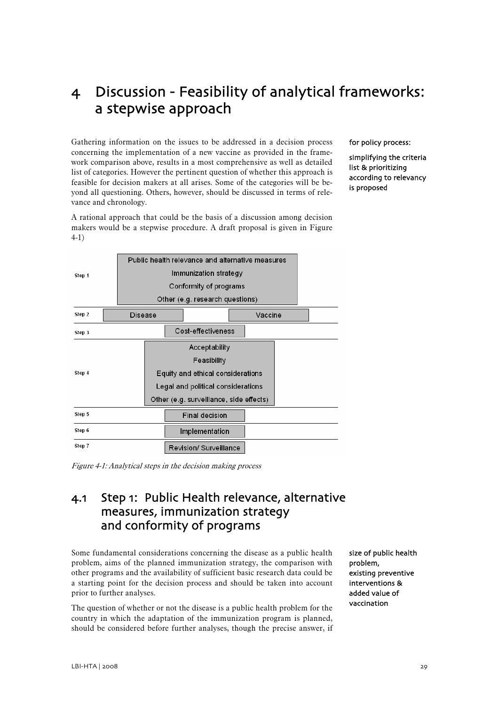# <span id="page-30-0"></span>4 Discussion - Feasibility of analytical frameworks: a stepwise approach

Gathering information on the issues to be addressed in a decision process concerning the implementation of a new vaccine as provided in the framework comparison above, results in a most comprehensive as well as detailed list of categories. However the pertinent question of whether this approach is feasible for decision makers at all arises. Some of the categories will be beyond all questioning. Others, however, should be discussed in terms of relevance and chronology.

A rational approach that could be the basis of a discussion among decision makers would be a stepwise procedure. A draft proposal is given in Figure 4-1)

for policy process:

simplifying the criteria list & prioritizing according to relevancy is proposed



Figure 4-1: Analytical steps in the decision making process

## 4.1 Step 1: Public Health relevance, alternative measures, immunization strategy and conformity of programs

Some fundamental considerations concerning the disease as a public health problem, aims of the planned immunization strategy, the comparison with other programs and the availability of sufficient basic research data could be a starting point for the decision process and should be taken into account prior to further analyses.

The question of whether or not the disease is a public health problem for the country in which the adaptation of the immunization program is planned, should be considered before further analyses, though the precise answer, if size of public health problem, existing preventive interventions & added value of vaccination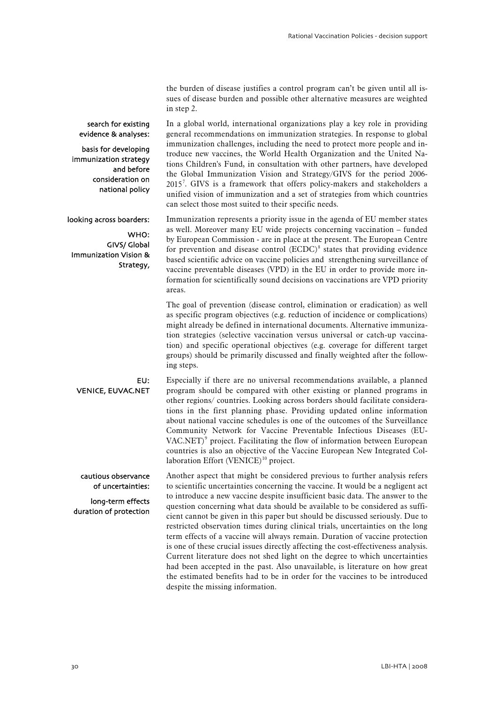the burden of disease justifies a control program can't be given until all issues of disease burden and possible other alternative measures are weighted in step 2.

In a global world, international organizations play a key role in providing

search for existing evidence & analyses:

basis for developing immunization strategy and before consideration on national policy

looking across boarders:

WHO: GIVS/ Global Immunization Vision & Strategy, general recommendations on immunization strategies. In response to global immunization challenges, including the need to protect more people and introduce new vaccines, the World Health Organization and the United Nations Children's Fund, in consultation with other partners, have developed the Global Immunization Vision and Strategy/GIVS for the period 2006- 2015[7](#page-54-1) . GIVS is a framework that offers policy-makers and stakeholders a unified vision of immunization and a set of strategies from which countries can select those most suited to their specific needs.

Immunization represents a priority issue in the agenda of EU member states as well. Moreover many EU wide projects concerning vaccination – funded by European Commission - are in place at the present. The European Centre for prevention and disease control  $(ECDC)^8$  $(ECDC)^8$  states that providing evidence based scientific advice on vaccine policies and strengthening surveillance of vaccine preventable diseases (VPD) in the EU in order to provide more information for scientifically sound decisions on vaccinations are VPD priority areas.

The goal of prevention (disease control, elimination or eradication) as well as specific program objectives (e.g. reduction of incidence or complications) might already be defined in international documents. Alternative immunization strategies (selective vaccination versus universal or catch-up vaccination) and specific operational objectives (e.g. coverage for different target groups) should be primarily discussed and finally weighted after the following steps.

Especially if there are no universal recommendations available, a planned program should be compared with other existing or planned programs in other regions/ countries. Looking across borders should facilitate considerations in the first planning phase. Providing updated online information about national vaccine schedules is one of the outcomes of the Surveillance Community Network for Vaccine Preventable Infectious Diseases (EU-VAC.NET)<sup>[9](#page-54-1)</sup> project. Facilitating the flow of information between European countries is also an objective of the Vaccine European New Integrated Collaboration Effort (VENICE) $10$  project. EU: VENICE, EUVAC.NET

Another aspect that might be considered previous to further analysis refers to scientific uncertainties concerning the vaccine. It would be a negligent act to introduce a new vaccine despite insufficient basic data. The answer to the question concerning what data should be available to be considered as sufficient cannot be given in this paper but should be discussed seriously. Due to restricted observation times during clinical trials, uncertainties on the long term effects of a vaccine will always remain. Duration of vaccine protection is one of these crucial issues directly affecting the cost-effectiveness analysis. Current literature does not shed light on the degree to which uncertainties had been accepted in the past. Also unavailable, is literature on how great the estimated benefits had to be in order for the vaccines to be introduced despite the missing information. cautious observance of uncertainties: long-term effects duration of protection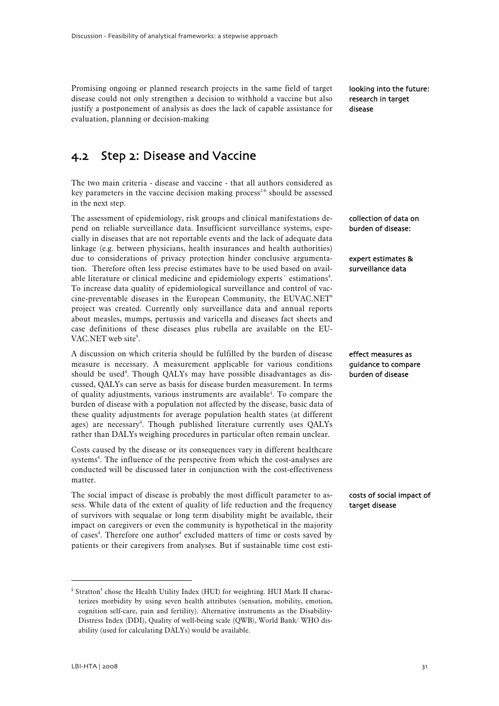<span id="page-32-0"></span>Promising ongoing or planned research projects in the same field of target disease could not only strengthen a decision to withhold a vaccine but also justify a postponement of analysis as does the lack of capable assistance for evaluation, planning or decision-making

looking into the future: research in target disease

## 4.2 Step 2: Disease and Vaccine

The two main criteria - disease and vaccine - that all authors considered as key parameters in the vaccine decision making process<sup>2-6</sup> should be assessed in the next step.

The assessment of epidemiology, risk groups and clinical manifestations depend on reliable surveillance data. Insufficient surveillance systems, especially in diseases that are not reportable events and the lack of adequate data linkage (e.g. between physicians, health insurances and health authorities) due to considerations of privacy protection hinder conclusive argumentation. Therefore often less precise estimates have to be used based on available literature or clinical medicine and epidemiology experts<sup>'</sup> estimations<sup>4</sup>. To increase data quality of epidemiological surveillance and control of vaccine-preventable diseases in the European Community, the EUVAC.NET<sup>9</sup> project was created. Currently only surveillance data and annual reports about measles, mumps, pertussis and varicella and diseases fact sheets and case definitions of these diseases plus rubella are available on the EU-VAC.NET web site<sup>9</sup>.

A discussion on which criteria should be fulfilled by the burden of disease measure is necessary. A measurement applicable for various conditions should be used<sup>4</sup>. Though QALYs may have possible disadvantages as discussed, QALYs can serve as basis for disease burden measurement. In terms of qual[i](#page-32-1)ty adjustments, various instruments are available<sup>i</sup>. To compare the burden of disease with a population not affected by the disease, basic data of these quality adjustments for average population health states (at different ages) are necessary<sup>4</sup>. Though published literature currently uses QALYs rather than DALYs weighing procedures in particular often remain unclear.

Costs caused by the disease or its consequences vary in different healthcare systems<sup>4</sup>. The influence of the perspective from which the cost-analyses are conducted will be discussed later in conjunction with the cost-effectiveness matter.

The social impact of disease is probably the most difficult parameter to assess. While data of the extent of quality of life reduction and the frequency of survivors with sequalae or long term disability might be available, their impact on caregivers or even the community is hypothetical in the majority of cases<sup>4</sup>. Therefore one author<sup>4</sup> excluded matters of time or costs saved by patients or their caregivers from analyses. But if sustainable time cost esticollection of data on burden of disease:

expert estimates & surveillance data

effect measures as guidance to compare burden of disease

costs of social impact of target disease

<u>.</u>

<span id="page-32-1"></span><sup>&</sup>lt;sup>i</sup> Stratton<sup>4</sup> chose the Health Utility Index (HUI) for weighting. HUI Mark II characterizes morbidity by using seven health attributes (sensation, mobility, emotion, cognition self-care, pain and fertility). Alternative instruments as the Disability-Distress Index (DDI), Quality of well-being scale (QWB), World Bank/ WHO disability (used for calculating DALYs) would be available.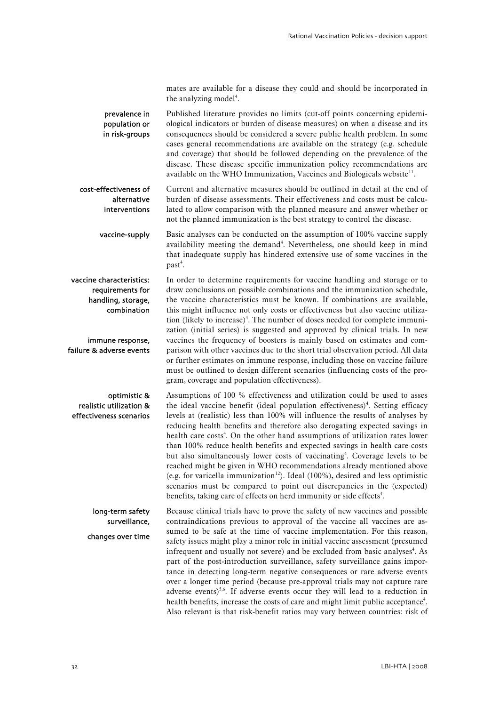mates are available for a disease they could and should be incorporated in the analyzing model<sup>4</sup>.

Published literature provides no limits (cut-off points concerning epidemiological indicators or burden of disease measures) on when a disease and its consequences should be considered a severe public health problem. In some cases general recommendations are available on the strategy (e.g. schedule and coverage) that should be followed depending on the prevalence of the disease. These disease specific immunization policy recommendations are available on the WHO Immunization, Vaccines and Biologicals website $11$ . prevalence in population or in risk-groups

Current and alternative measures should be outlined in detail at the end of burden of disease assessments. Their effectiveness and costs must be calculated to allow comparison with the planned measure and answer whether or not the planned immunization is the best strategy to control the disease. cost-effectiveness of alternative interventions

Basic analyses can be conducted on the assumption of 100% vaccine supply availability meeting the demand<sup>4</sup>. Nevertheless, one should keep in mind that inadequate supply has hindered extensive use of some vaccines in the past<sup>4</sup>. vaccine-supply

In order to determine requirements for vaccine handling and storage or to draw conclusions on possible combinations and the immunization schedule, the vaccine characteristics must be known. If combinations are available, this might influence not only costs or effectiveness but also vaccine utilization (likely to increase)<sup>4</sup>. The number of doses needed for complete immunization (initial series) is suggested and approved by clinical trials. In new vaccines the frequency of boosters is mainly based on estimates and comparison with other vaccines due to the short trial observation period. All data or further estimates on immune response, including those on vaccine failure must be outlined to design different scenarios (influencing costs of the program, coverage and population effectiveness). vaccine characteristics: requirements for handling, storage, combination immune response, failure & adverse events

Assumptions of 100 % effectiveness and utilization could be used to asses the ideal vaccine benefit (ideal population effectiveness)<sup>4</sup>. Setting efficacy levels at (realistic) less than 100% will influence the results of analyses by reducing health benefits and therefore also derogating expected savings in health care costs<sup>4</sup>. On the other hand assumptions of utilization rates lower than 100% reduce health benefits and expected savings in health care costs but also simultaneously lower costs of vaccinating<sup>4</sup>. Coverage levels to be reached might be given in WHO recommendations already mentioned above (e.g. for varicella immunization<sup>[12](#page-54-2)</sup>). Ideal (100%), desired and less optimistic scenarios must be compared to point out discrepancies in the (expected) benefits, taking care of effects on herd immunity or side effects<sup>4</sup>. optimistic & realistic utilization & effectiveness scenarios

Because clinical trials have to prove the safety of new vaccines and possible contraindications previous to approval of the vaccine all vaccines are assumed to be safe at the time of vaccine implementation. For this reason, safety issues might play a minor role in initial vaccine assessment (presumed infrequent and usually not severe) and be excluded from basic analyses<sup>4</sup>. As part of the post-introduction surveillance, safety surveillance gains importance in detecting long-term negative consequences or rare adverse events over a longer time period (because pre-approval trials may not capture rare adverse events)<sup>5,6</sup>. If adverse events occur they will lead to a reduction in health benefits, increase the costs of care and might limit public acceptance<sup>4</sup>. Also relevant is that risk-benefit ratios may vary between countries: risk of long-term safety surveillance, changes over time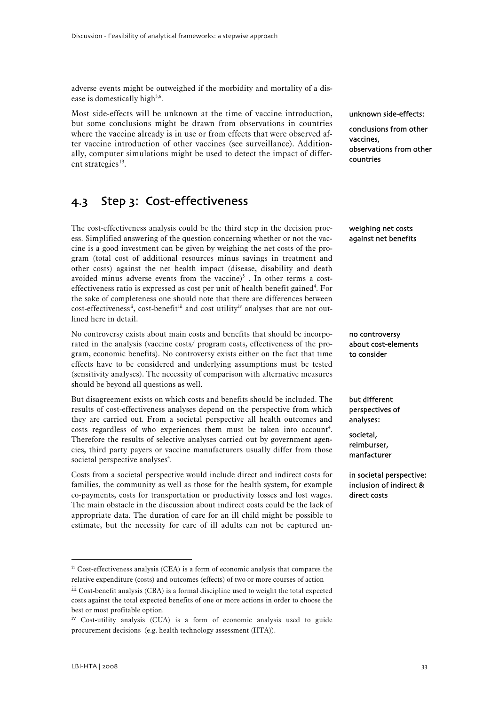<span id="page-34-0"></span>adverse events might be outweighed if the morbidity and mortality of a disease is domestically high<sup>5,6</sup>.

Most side-effects will be unknown at the time of vaccine introduction, but some conclusions might be drawn from observations in countries where the vaccine already is in use or from effects that were observed after vaccine introduction of other vaccines (see surveillance). Additionally, computer simulations might be used to detect the impact of different strategies $^{13}$  $^{13}$  $^{13}$ .

# 4.3 Step 3: Cost-effectiveness

The cost-effectiveness analysis could be the third step in the decision process. Simplified answering of the question concerning whether or not the vaccine is a good investment can be given by weighing the net costs of the program (total cost of additional resources minus savings in treatment and other costs) against the net health impact (disease, disability and death avoided minus adverse events from the vaccine) $5$ . In other terms a costeffectiveness ratio is expressed as cost per unit of health benefit gained<sup>4</sup>. For the sake of completeness one should note that there are differences between cost-effect[i](#page-34-3)veness<sup>ii</sup>, cost-benefit<sup>iii</sup> and cost utility<sup>iv</sup> analyses that are not outlined here in detail.

No controversy exists about main costs and benefits that should be incorporated in the analysis (vaccine costs/ program costs, effectiveness of the program, economic benefits). No controversy exists either on the fact that time effects have to be considered and underlying assumptions must be tested (sensitivity analyses). The necessity of comparison with alternative measures should be beyond all questions as well.

But disagreement exists on which costs and benefits should be included. The results of cost-effectiveness analyses depend on the perspective from which they are carried out. From a societal perspective all health outcomes and costs regardless of who experiences them must be taken into account<sup>4</sup>. Therefore the results of selective analyses carried out by government agencies, third party payers or vaccine manufacturers usually differ from those societal perspective analyses<sup>4</sup>.

Costs from a societal perspective would include direct and indirect costs for families, the community as well as those for the health system, for example co-payments, costs for transportation or productivity losses and lost wages. The main obstacle in the discussion about indirect costs could be the lack of appropriate data. The duration of care for an ill child might be possible to estimate, but the necessity for care of ill adults can not be captured ununknown side-effects:

conclusions from other vaccines, observations from other countries

weighing net costs against net benefits

no controversy about cost-elements to consider

but different perspectives of analyses:

societal, reimburser, manfacturer

in societal perspective: inclusion of indirect & direct costs

<span id="page-34-1"></span>ii Cost-effectiveness analysis (CEA) is a form of economic analysis that compares the relative expenditure (costs) and outcomes (effects) of two or more courses of action

<span id="page-34-2"></span>iii Cost-benefit analysis (CBA) is a formal discipline used to weight the total expected costs against the total expected benefits of one or more actions in order to choose the best or most profitable option.

<span id="page-34-3"></span>iv Cost-utility analysis (CUA) is a form of economic analysis used to guide procurement decisions (e.g. health technology assessment (HTA)).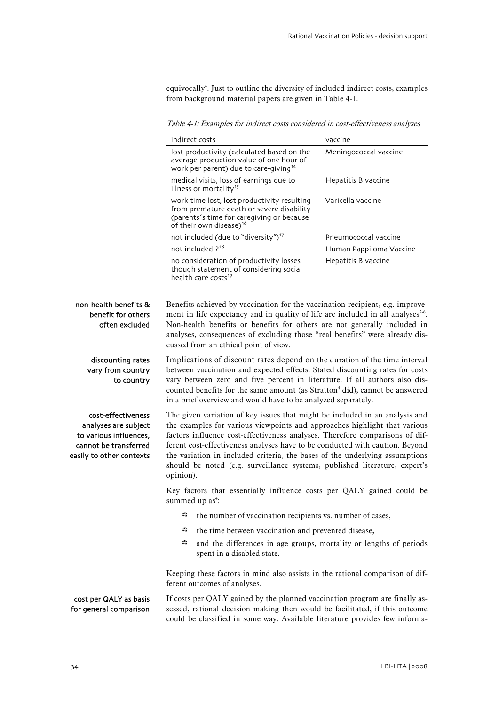equivocally<sup>4</sup>. Just to outline the diversity of included indirect costs, examples from background material papers are given in Table 4-1.

Table 4-1: Examples for indirect costs considered in cost-effectiveness analyses

<span id="page-35-0"></span>

|                                                                                                                           | indirect costs                                                                                                                                                                                                                                                                                                                                                                                                                                                                                     | vaccine                 |
|---------------------------------------------------------------------------------------------------------------------------|----------------------------------------------------------------------------------------------------------------------------------------------------------------------------------------------------------------------------------------------------------------------------------------------------------------------------------------------------------------------------------------------------------------------------------------------------------------------------------------------------|-------------------------|
|                                                                                                                           | lost productivity (calculated based on the<br>average production value of one hour of<br>work per parent) due to care-giving <sup>14</sup>                                                                                                                                                                                                                                                                                                                                                         | Meningococcal vaccine   |
|                                                                                                                           | medical visits, loss of earnings due to<br>illness or mortality <sup>15</sup>                                                                                                                                                                                                                                                                                                                                                                                                                      | Hepatitis B vaccine     |
|                                                                                                                           | work time lost, lost productivity resulting<br>from premature death or severe disability<br>(parents's time for caregiving or because<br>of their own disease) <sup>16</sup>                                                                                                                                                                                                                                                                                                                       | Varicella vaccine       |
|                                                                                                                           | not included (due to "diversity") <sup>17</sup>                                                                                                                                                                                                                                                                                                                                                                                                                                                    | Pneumococcal vaccine    |
|                                                                                                                           | not included ? <sup>18</sup>                                                                                                                                                                                                                                                                                                                                                                                                                                                                       | Human Pappiloma Vaccine |
|                                                                                                                           | no consideration of productivity losses<br>though statement of considering social<br>health care costs <sup>19</sup>                                                                                                                                                                                                                                                                                                                                                                               | Hepatitis B vaccine     |
|                                                                                                                           |                                                                                                                                                                                                                                                                                                                                                                                                                                                                                                    |                         |
| non-health benefits &<br>benefit for others<br>often excluded                                                             | Benefits achieved by vaccination for the vaccination recipient, e.g. improve-<br>ment in life expectancy and in quality of life are included in all analyses <sup>2-6</sup> .<br>Non-health benefits or benefits for others are not generally included in<br>analyses, consequences of excluding those "real benefits" were already dis-<br>cussed from an ethical point of view.                                                                                                                  |                         |
| discounting rates<br>vary from country<br>to country                                                                      | Implications of discount rates depend on the duration of the time interval<br>between vaccination and expected effects. Stated discounting rates for costs<br>vary between zero and five percent in literature. If all authors also dis-<br>counted benefits for the same amount (as Stratton <sup>4</sup> did), cannot be answered<br>in a brief overview and would have to be analyzed separately.                                                                                               |                         |
| cost-effectiveness<br>analyses are subject<br>to various influences,<br>cannot be transferred<br>easily to other contexts | The given variation of key issues that might be included in an analysis and<br>the examples for various viewpoints and approaches highlight that various<br>factors influence cost-effectiveness analyses. Therefore comparisons of dif-<br>ferent cost-effectiveness analyses have to be conducted with caution. Beyond<br>the variation in included criteria, the bases of the underlying assumptions<br>should be noted (e.g. surveillance systems, published literature, expert's<br>opinion). |                         |
|                                                                                                                           | Key factors that essentially influence costs per QALY gained could be<br>summed up as <sup>4</sup> :                                                                                                                                                                                                                                                                                                                                                                                               |                         |
|                                                                                                                           | ₩<br>the number of vaccination recipients vs. number of cases,                                                                                                                                                                                                                                                                                                                                                                                                                                     |                         |
|                                                                                                                           | ₩<br>the time between vaccination and prevented disease,                                                                                                                                                                                                                                                                                                                                                                                                                                           |                         |
|                                                                                                                           | ₩<br>and the differences in age groups, mortality or lengths of periods<br>spent in a disabled state.                                                                                                                                                                                                                                                                                                                                                                                              |                         |
|                                                                                                                           | Keeping these factors in mind also assists in the rational comparison of dif-<br>ferent outcomes of analyses.                                                                                                                                                                                                                                                                                                                                                                                      |                         |
| cost per QALY as basis<br>for general comparison                                                                          | If costs per QALY gained by the planned vaccination program are finally as-<br>sessed, rational decision making then would be facilitated, if this outcome<br>could be classified in some way. Available literature provides few informa-                                                                                                                                                                                                                                                          |                         |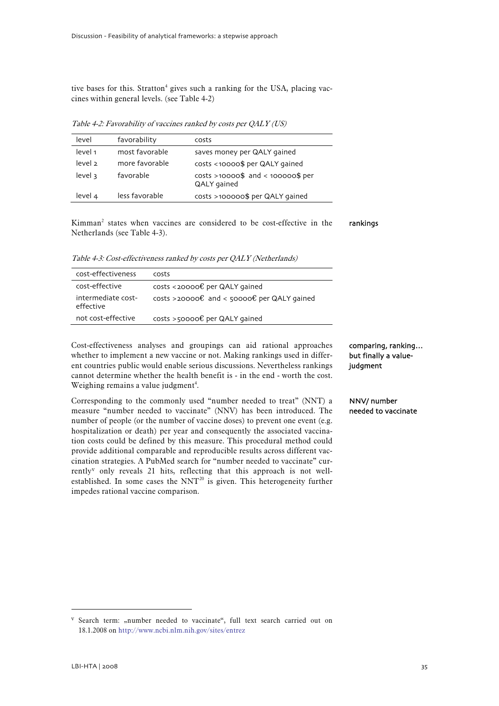<span id="page-36-0"></span>tive bases for this. Stratton<sup>4</sup> gives such a ranking for the USA, placing vaccines within general levels. (see Table 4-2)

Table 4-2: Favorability of vaccines ranked by costs per QALY (US)

| level              | favorability   | costs                                                |
|--------------------|----------------|------------------------------------------------------|
| level 1            | most favorable | saves money per QALY gained                          |
| level <sub>2</sub> | more favorable | costs <10000\$ per QALY gained                       |
| level 3            | favorable      | $costs > 10000$ \$ and < 100000\$ per<br>QALY gained |
| level 4            | less favorable | $costs > 100000$ \$ per QALY gained                  |

Kimman2 states when vaccines are considered to be cost-effective in the Netherlands (see Table 4-3). rankings

Table 4-3: Cost-effectiveness ranked by costs per QALY (Netherlands)

| cost-effectiveness              | costs                                                          |
|---------------------------------|----------------------------------------------------------------|
| cost-effective                  | costs <20000€ per QALY gained                                  |
| intermediate cost-<br>effective | costs >20000 $\epsilon$ and < 50000 $\epsilon$ per QALY gained |
| not cost-effective              | costs >50000€ per QALY gained                                  |

Cost-effectiveness analyses and groupings can aid rational approaches whether to implement a new vaccine or not. Making rankings used in different countries public would enable serious discussions. Nevertheless rankings cannot determine whether the health benefit is - in the end - worth the cost. Weighing remains a value judgment<sup>4</sup>.

Corresponding to the commonly used "number needed to treat" (NNT) a measure "number needed to vaccinate" (NNV) has been introduced. The number of people (or the number of vaccine doses) to prevent one event (e.g. hospitalization or death) per year and consequently the associated vaccination costs could be defined by this measure. This procedural method could provide additional comparable and reproducible results across different vaccination strategies. A PubMed search for "number needed to vaccinate" currently[v](#page-36-1) only reveals 21 hits, reflecting that this approach is not well-established. In some cases the NNT<sup>[20](#page-54-2)</sup> is given. This heterogeneity further impedes rational vaccine comparison.

comparing, ranking… but finally a valuejudgment

NNV/ number needed to vaccinate

<span id="page-36-1"></span> $V$  Search term: "number needed to vaccinate", full text search carried out on 18.1.2008 on http://www.ncbi.nlm.nih.gov/sites/entrez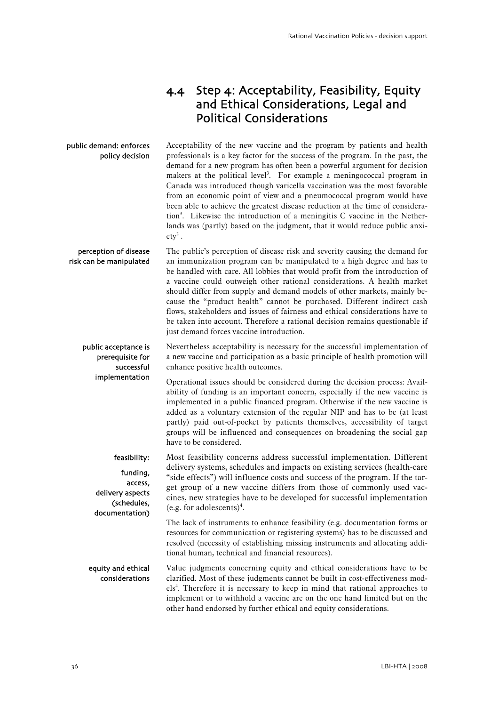## 4.4 Step 4: Acceptability, Feasibility, Equity and Ethical Considerations, Legal and Political Considerations

<span id="page-37-0"></span>Acceptability of the new vaccine and the program by patients and health professionals is a key factor for the success of the program. In the past, the demand for a new program has often been a powerful argument for decision makers at the political level<sup>3</sup>. For example a meningococcal program in Canada was introduced though varicella vaccination was the most favorable from an economic point of view and a pneumococcal program would have been able to achieve the greatest disease reduction at the time of consideration3 . Likewise the introduction of a meningitis C vaccine in the Netherlands was (partly) based on the judgment, that it would reduce public anxi $ety<sup>2</sup>$ . public demand: enforces policy decision

The public's perception of disease risk and severity causing the demand for an immunization program can be manipulated to a high degree and has to be handled with care. All lobbies that would profit from the introduction of a vaccine could outweigh other rational considerations. A health market should differ from supply and demand models of other markets, mainly because the "product health" cannot be purchased. Different indirect cash flows, stakeholders and issues of fairness and ethical considerations have to be taken into account. Therefore a rational decision remains questionable if just demand forces vaccine introduction. perception of disease risk can be manipulated

Nevertheless acceptability is necessary for the successful implementation of a new vaccine and participation as a basic principle of health promotion will enhance positive health outcomes. public acceptance is prerequisite for successful

Operational issues should be considered during the decision process: Availability of funding is an important concern, especially if the new vaccine is implemented in a public financed program. Otherwise if the new vaccine is added as a voluntary extension of the regular NIP and has to be (at least partly) paid out-of-pocket by patients themselves, accessibility of target groups will be influenced and consequences on broadening the social gap have to be considered. implementation

Most feasibility concerns address successful implementation. Different delivery systems, schedules and impacts on existing services (health-care "side effects") will influence costs and success of the program. If the target group of a new vaccine differs from those of commonly used vaccines, new strategies have to be developed for successful implementation  $(e.g. for adolescents)<sup>4</sup>.$ feasibility: funding, access, delivery aspects (schedules, documentation)

> The lack of instruments to enhance feasibility (e.g. documentation forms or resources for communication or registering systems) has to be discussed and resolved (necessity of establishing missing instruments and allocating additional human, technical and financial resources).

Value judgments concerning equity and ethical considerations have to be clarified. Most of these judgments cannot be built in cost-effectiveness models<sup>4</sup>. Therefore it is necessary to keep in mind that rational approaches to implement or to withhold a vaccine are on the one hand limited but on the other hand endorsed by further ethical and equity considerations. equity and ethical considerations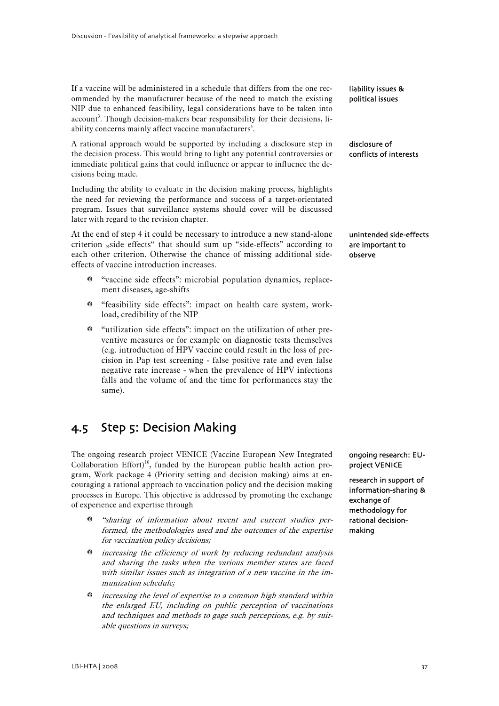<span id="page-38-0"></span>If a vaccine will be administered in a schedule that differs from the one recommended by the manufacturer because of the need to match the existing NIP due to enhanced feasibility, legal considerations have to be taken into account<sup>3</sup>. Though decision-makers bear responsibility for their decisions, liability concerns mainly affect vaccine manufacturers<sup>4</sup>.

A rational approach would be supported by including a disclosure step in the decision process. This would bring to light any potential controversies or immediate political gains that could influence or appear to influence the decisions being made.

Including the ability to evaluate in the decision making process, highlights the need for reviewing the performance and success of a target-orientated program. Issues that surveillance systems should cover will be discussed later with regard to the revision chapter.

At the end of step 4 it could be necessary to introduce a new stand-alone criterion "side effects" that should sum up "side-effects" according to each other criterion. Otherwise the chance of missing additional sideeffects of vaccine introduction increases.

- b "vaccine side effects": microbial population dynamics, replacement diseases, age-shifts
- b "feasibility side effects": impact on health care system, workload, credibility of the NIP
- $\bullet$  "utilization side effects": impact on the utilization of other preventive measures or for example on diagnostic tests themselves (e.g. introduction of HPV vaccine could result in the loss of precision in Pap test screening - false positive rate and even false negative rate increase - when the prevalence of HPV infections falls and the volume of and the time for performances stay the same).

# 4.5 Step 5: Decision Making

The ongoing research project VENICE (Vaccine European New Integrated Collaboration Effort)<sup>10</sup>, funded by the European public health action program, Work package 4 (Priority setting and decision making) aims at encouraging a rational approach to vaccination policy and the decision making processes in Europe. This objective is addressed by promoting the exchange of experience and expertise through

- $b$  "sharing of information about recent and current studies performed, the methodologies used and the outcomes of the expertise for vaccination policy decisions;
- $\ddot{\bullet}$  increasing the efficiency of work by reducing redundant analysis and sharing the tasks when the various member states are faced with similar issues such as integration of a new vaccine in the immunization schedule;
- $\ddot{\bullet}$  increasing the level of expertise to a common high standard within the enlarged EU, including on public perception of vaccinations and techniques and methods to gage such perceptions, e.g. by suitable questions in surveys;

liability issues & political issues

disclosure of conflicts of interests

unintended side-effects are important to observe

ongoing research: EUproject VENICE

research in support of information-sharing & exchange of methodology for rational decisionmaking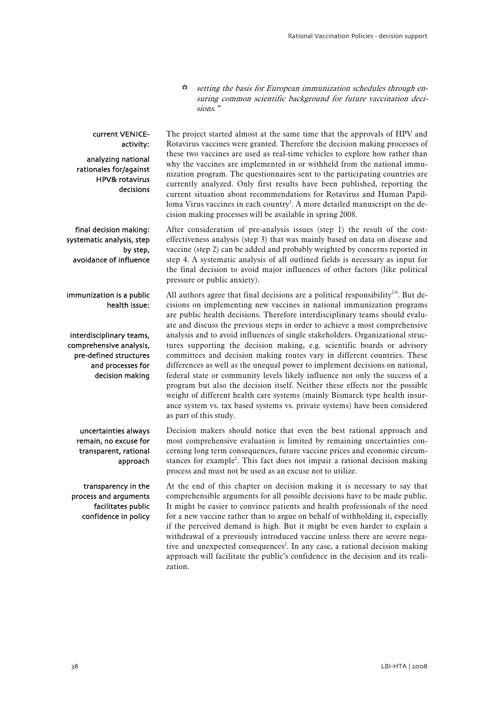$\Leftrightarrow$  setting the basis for European immunization schedules through ensuring common scientific background for future vaccination decisions."

#### current VENICEactivity:

analyzing national rationales for/against HPV& rotavirus decisions

final decision making: systematic analysis, step by step, avoidance of influence

 immunization is a public health issue:

interdisciplinary teams, comprehensive analysis, pre-defined structures and processes for decision making

uncertainties always remain, no excuse for transparent, rational approach

transparency in the process and arguments facilitates public confidence in policy The project started almost at the same time that the approvals of HPV and Rotavirus vaccines were granted. Therefore the decision making processes of these two vaccines are used as real-time vehicles to explore how rather than why the vaccines are implemented in or withheld from the national immunization program. The questionnaires sent to the participating countries are currently analyzed. Only first results have been published, reporting the current situation about recommendations for Rotavirus and Human Papilloma Virus vaccines in each country<sup>1</sup>. A more detailed manuscript on the decision making processes will be available in spring 2008.

After consideration of pre-analysis issues (step 1) the result of the costeffectiveness analysis (step 3) that was mainly based on data on disease and vaccine (step 2) can be added and probably weighted by concerns reported in step 4. A systematic analysis of all outlined fields is necessary as input for the final decision to avoid major influences of other factors (like political pressure or public anxiety).

All authors agree that final decisions are a political responsibility<sup>2-6</sup>. But decisions on implementing new vaccines in national immunization programs are public health decisions. Therefore interdisciplinary teams should evaluate and discuss the previous steps in order to achieve a most comprehensive analysis and to avoid influences of single stakeholders. Organizational structures supporting the decision making, e.g. scientific boards or advisory committees and decision making routes vary in different countries. These differences as well as the unequal power to implement decisions on national, federal state or community levels likely influence not only the success of a program but also the decision itself. Neither these effects nor the possible weight of different health care systems (mainly Bismarck type health insurance system vs. tax based systems vs. private systems) have been considered as part of this study.

Decision makers should notice that even the best rational approach and most comprehensive evaluation is limited by remaining uncertainties concerning long term consequences, future vaccine prices and economic circumstances for example<sup>2</sup>. This fact does not impair a rational decision making process and must not be used as an excuse not to utilize.

At the end of this chapter on decision making it is necessary to say that comprehensible arguments for all possible decisions have to be made public. It might be easier to convince patients and health professionals of the need for a new vaccine rather than to argue on behalf of withholding it, especially if the perceived demand is high. But it might be even harder to explain a withdrawal of a previously introduced vaccine unless there are severe negative and unexpected consequences<sup>2</sup>. In any case, a rational decision making approach will facilitate the public's confidence in the decision and its realization.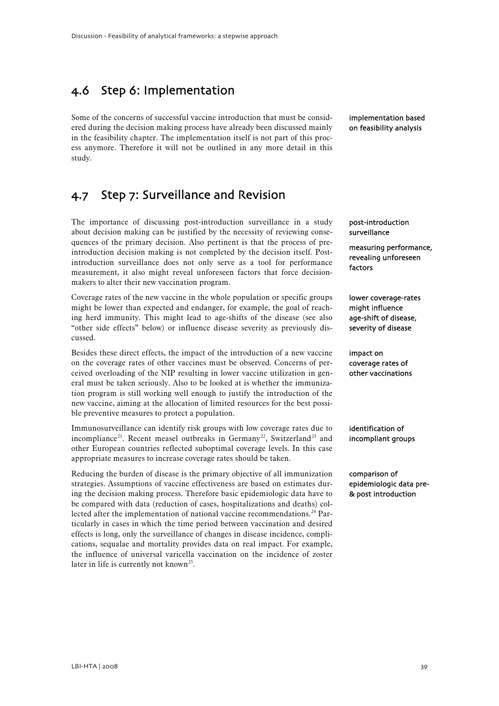## <span id="page-40-0"></span>4.6 Step 6: Implementation

Some of the concerns of successful vaccine introduction that must be considered during the decision making process have already been discussed mainly in the feasibility chapter. The implementation itself is not part of this process anymore. Therefore it will not be outlined in any more detail in this study.

## 4.7 Step 7: Surveillance and Revision

The importance of discussing post-introduction surveillance in a study about decision making can be justified by the necessity of reviewing consequences of the primary decision. Also pertinent is that the process of preintroduction decision making is not completed by the decision itself. Postintroduction surveillance does not only serve as a tool for performance measurement, it also might reveal unforeseen factors that force decisionmakers to alter their new vaccination program.

Coverage rates of the new vaccine in the whole population or specific groups might be lower than expected and endanger, for example, the goal of reaching herd immunity. This might lead to age-shifts of the disease (see also "other side effects" below) or influence disease severity as previously discussed.

Besides these direct effects, the impact of the introduction of a new vaccine on the coverage rates of other vaccines must be observed. Concerns of perceived overloading of the NIP resulting in lower vaccine utilization in general must be taken seriously. Also to be looked at is whether the immunization program is still working well enough to justify the introduction of the new vaccine, aiming at the allocation of limited resources for the best possible preventive measures to protect a population.

Immunosurveillance can identify risk groups with low coverage rates due to incompliance<sup>[2](#page-54-2)1</sup>. Recent measel outbreaks in Germany<sup>[22](#page-54-2)</sup>, Switzerland<sup>[23](#page-54-2)</sup> and other European countries reflected suboptimal coverage levels. In this case appropriate measures to increase coverage rates should be taken.

Reducing the burden of disease is the primary objective of all immunization strategies. Assumptions of vaccine effectiveness are based on estimates during the decision making process. Therefore basic epidemiologic data have to be compared with data (reduction of cases, hospitalizations and deaths) col-lected after the implementation of national vaccine recommendations.<sup>[2](#page-54-2)4</sup> Particularly in cases in which the time period between vaccination and desired effects is long, only the surveillance of changes in disease incidence, complications, sequalae and mortality provides data on real impact. For example, the influence of universal varicella vaccination on the incidence of zoster later in life is currently not known<sup>[25](#page-54-2)</sup>.

implementation based on feasibility analysis

post-introduction surveillance

measuring performance, revealing unforeseen factors

lower coverage-rates might influence age-shift of disease, severity of disease

mipace on<br>coverage rates of impact on other vaccinations

identification of incompliant groups

comparison of epidemiologic data pre- & post introduction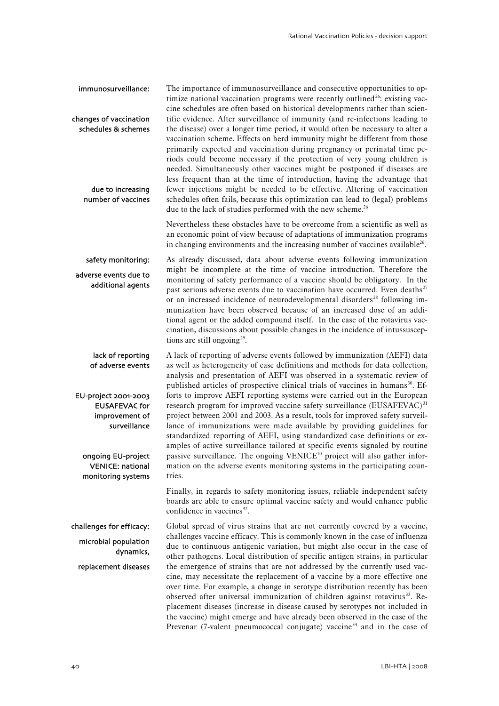The importance of immunosurveillance and consecutive opportunities to op-timize national vaccination programs were recently outlined<sup>[26](#page-54-2)</sup>: existing vaccine schedules are often based on historical developments rather than scientific evidence. After surveillance of immunity (and re-infections leading to the disease) over a longer time period, it would often be necessary to alter a vaccination scheme. Effects on herd immunity might be different from those primarily expected and vaccination during pregnancy or perinatal time periods could become necessary if the protection of very young children is needed. Simultaneously other vaccines might be postponed if diseases are less frequent than at the time of introduction, having the advantage that fewer injections might be needed to be effective. Altering of vaccination schedules often fails, because this optimization can lead to (legal) problems due to the lack of studies performed with the new scheme.<sup>26</sup> immunosurveillance: changes of vaccination schedules & schemes due to increasing number of vaccines

> Nevertheless these obstacles have to be overcome from a scientific as well as an economic point of view because of adaptations of immunization programs in changing environments and the increasing number of vaccines available $^{26}$ .

As already discussed, data about adverse events following immunization might be incomplete at the time of vaccine introduction. Therefore the monitoring of safety performance of a vaccine should be obligatory. In the past serious adverse events due to vaccination have occurred. Even deaths<sup>[27](#page-54-2)</sup> or an increased incidence of neurodevelopmental disorders<sup>[2](#page-54-2)8</sup> following immunization have been observed because of an increased dose of an additional agent or the added compound itself. In the case of the rotavirus vaccination, discussions about possible changes in the incidence of intussuscep-tions are still ongoing<sup>[29](#page-54-2)</sup>. safety monitoring: adverse events due to additional agents

A lack of reporting of adverse events followed by immunization (AEFI) data as well as heterogeneity of case definitions and methods for data collection, analysis and presentation of AEFI was observed in a systematic review of published articles of prospective clinical trials of vaccines in humans<sup>[3](#page-54-2)0</sup>. Efforts to improve AEFI reporting systems were carried out in the European research program for improved vaccine safety surveillance (EUSAFEVAC)<sup>[31](#page-54-2)</sup> project between 2001 and 2003. As a result, tools for improved safety surveillance of immunizations were made available by providing guidelines for standardized reporting of AEFI, using standardized case definitions or examples of active surveillance tailored at specific events signaled by routine passive surveillance. The ongoing  $VENICE^{10}$  project will also gather information on the adverse events monitoring systems in the participating countries. lack of reporting of adverse events EU-project 2001-2003 EUSAFEVAC for improvement of surveillance ongoing EU-project VENICE: national monitoring systems

> Finally, in regards to safety monitoring issues, reliable independent safety boards are able to ensure optimal vaccine safety and would enhance public  $confidence in vaccines<sup>32</sup>$  $confidence in vaccines<sup>32</sup>$  $confidence in vaccines<sup>32</sup>$ .

Global spread of virus strains that are not currently covered by a vaccine, challenges vaccine efficacy. This is commonly known in the case of influenza due to continuous antigenic variation, but might also occur in the case of other pathogens. Local distribution of specific antigen strains, in particular the emergence of strains that are not addressed by the currently used vaccine, may necessitate the replacement of a vaccine by a more effective one over time. For example, a change in serotype distribution recently has been observed after universal immunization of children against rotavirus<sup>[3](#page-54-2)3</sup>. Replacement diseases (increase in disease caused by serotypes not included in the vaccine) might emerge and have already been observed in the case of the Prevenar (7-valent pneumococcal conjugate) vaccine<sup>[3](#page-54-2)4</sup> and in the case of challenges for efficacy: microbial population dynamics, replacement diseases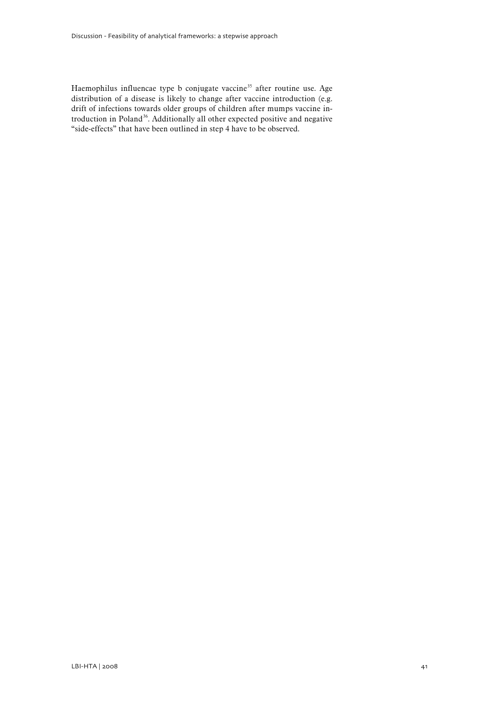Haemophilus influencae type b conjugate vaccine<sup>[3](#page-54-2)5</sup> after routine use. Age distribution of a disease is likely to change after vaccine introduction (e.g. drift of infections towards older groups of children after mumps vaccine introduction in Poland[36](#page-54-2). Additionally all other expected positive and negative "side-effects" that have been outlined in step 4 have to be observed.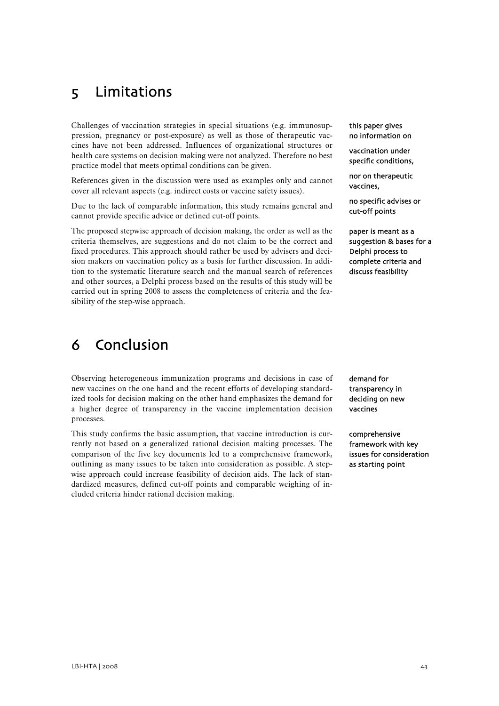# <span id="page-44-0"></span>5 Limitations

Challenges of vaccination strategies in special situations (e.g. immunosuppression, pregnancy or post-exposure) as well as those of therapeutic vaccines have not been addressed. Influences of organizational structures or health care systems on decision making were not analyzed. Therefore no best practice model that meets optimal conditions can be given.

References given in the discussion were used as examples only and cannot cover all relevant aspects (e.g. indirect costs or vaccine safety issues).

Due to the lack of comparable information, this study remains general and cannot provide specific advice or defined cut-off points.

The proposed stepwise approach of decision making, the order as well as the criteria themselves, are suggestions and do not claim to be the correct and fixed procedures. This approach should rather be used by advisers and decision makers on vaccination policy as a basis for further discussion. In addition to the systematic literature search and the manual search of references and other sources, a Delphi process based on the results of this study will be carried out in spring 2008 to assess the completeness of criteria and the feasibility of the step-wise approach.

# 6 Conclusion

Observing heterogeneous immunization programs and decisions in case of new vaccines on the one hand and the recent efforts of developing standardized tools for decision making on the other hand emphasizes the demand for a higher degree of transparency in the vaccine implementation decision processes.

This study confirms the basic assumption, that vaccine introduction is currently not based on a generalized rational decision making processes. The comparison of the five key documents led to a comprehensive framework, outlining as many issues to be taken into consideration as possible. A stepwise approach could increase feasibility of decision aids. The lack of standardized measures, defined cut-off points and comparable weighing of included criteria hinder rational decision making.

this paper gives no information on

vaccination under specific conditions,

nor on therapeutic vaccines,

no specific advises or cut-off points

paper is meant as a suggestion & bases for a Delphi process to complete criteria and discuss feasibility

demand for transparency in deciding on new vaccines

comprehensive framework with key issues for consideration as starting point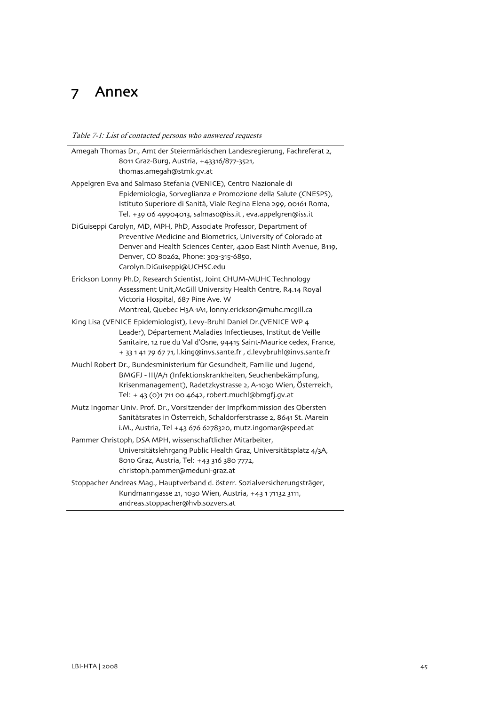# <span id="page-46-0"></span>7 Annex

 $\mathbf{r}$ 

Table 7-1: List of contacted persons who answered requests

| Amegah Thomas Dr., Amt der Steiermärkischen Landesregierung, Fachreferat 2, |                                                                                                                                                                                                                                                                                       |  |
|-----------------------------------------------------------------------------|---------------------------------------------------------------------------------------------------------------------------------------------------------------------------------------------------------------------------------------------------------------------------------------|--|
|                                                                             | 8011 Graz-Burg, Austria, +43316/877-3521,<br>thomas.amegah@stmk.gv.at                                                                                                                                                                                                                 |  |
|                                                                             | Appelgren Eva and Salmaso Stefania (VENICE), Centro Nazionale di                                                                                                                                                                                                                      |  |
|                                                                             | Epidemiologia, Sorveglianza e Promozione della Salute (CNESPS),<br>Istituto Superiore di Sanità, Viale Regina Elena 299, 00161 Roma,<br>Tel. +39 06 49904013, salmaso@iss.it, eva.appelgren@iss.it                                                                                    |  |
|                                                                             | DiGuiseppi Carolyn, MD, MPH, PhD, Associate Professor, Department of<br>Preventive Medicine and Biometrics, University of Colorado at<br>Denver and Health Sciences Center, 4200 East Ninth Avenue, B119,<br>Denver, CO 80262, Phone: 303-315-6850,<br>Carolyn.DiGuiseppi@UCHSC.edu   |  |
|                                                                             | Erickson Lonny Ph.D, Research Scientist, Joint CHUM-MUHC Technology<br>Assessment Unit, McGill University Health Centre, R4.14 Royal<br>Victoria Hospital, 687 Pine Ave. W<br>Montreal, Quebec H3A 1A1, lonny.erickson@muhc.mcgill.ca                                                 |  |
|                                                                             | King Lisa (VENICE Epidemiologist), Levy-Bruhl Daniel Dr. (VENICE WP 4<br>Leader), Département Maladies Infectieuses, Institut de Veille<br>Sanitaire, 12 rue du Val d'Osne, 94415 Saint-Maurice cedex, France,<br>+ 33 1 41 79 67 71, l.king@invs.sante.fr, d.levybruhl@invs.sante.fr |  |
|                                                                             | Muchl Robert Dr., Bundesministerium für Gesundheit, Familie und Jugend,<br>BMGFJ - III/A/1 (Infektionskrankheiten, Seuchenbekämpfung,<br>Krisenmanagement), Radetzkystrasse 2, A-1030 Wien, Österreich,<br>Tel: + 43 (0)1 711 00 4642, robert.muchl@bmgfj.gv.at                       |  |
|                                                                             | Mutz Ingomar Univ. Prof. Dr., Vorsitzender der Impfkommission des Obersten<br>Sanitätsrates in Österreich, Schaldorferstrasse 2, 8641 St. Marein<br>i.M., Austria, Tel +43 676 6278320, mutz.ingomar@speed.at                                                                         |  |
|                                                                             | Pammer Christoph, DSA MPH, wissenschaftlicher Mitarbeiter,<br>Universitätslehrgang Public Health Graz, Universitätsplatz 4/3A,<br>8010 Graz, Austria, Tel: +43 316 380 7772,<br>christoph.pammer@meduni-graz.at                                                                       |  |
|                                                                             | Stoppacher Andreas Mag., Hauptverband d. österr. Sozialversicherungsträger,<br>Kundmanngasse 21, 1030 Wien, Austria, +43 1 71132 3111,<br>andreas.stoppacher@hvb.sozvers.at                                                                                                           |  |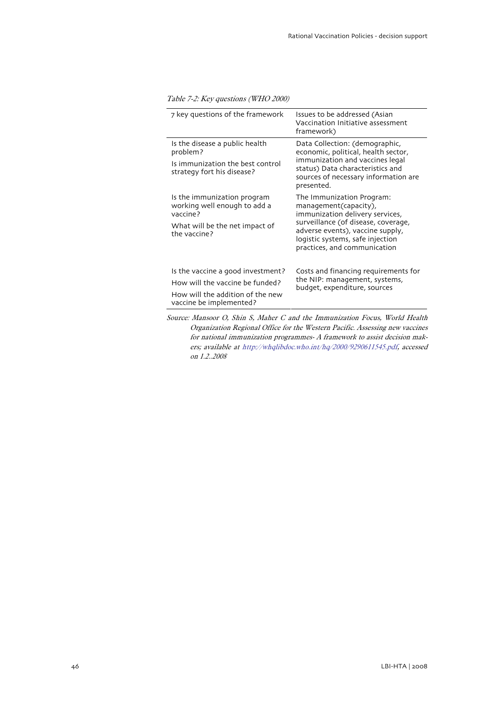#### <span id="page-47-0"></span>Table 7-2: Key questions (WHO 2000)

| 7 key questions of the framework                                                                                                    | Issues to be addressed (Asian<br>Vaccination Initiative assessment<br>framework)                                                                                                                                                     |
|-------------------------------------------------------------------------------------------------------------------------------------|--------------------------------------------------------------------------------------------------------------------------------------------------------------------------------------------------------------------------------------|
| Is the disease a public health<br>problem?<br>Is immunization the best control<br>strategy fort his disease?                        | Data Collection: (demographic,<br>economic, political, health sector,<br>immunization and vaccines legal<br>status) Data characteristics and<br>sources of necessary information are<br>presented.                                   |
| Is the immunization program<br>working well enough to add a<br>vaccine?<br>What will be the net impact of<br>the vaccine?           | The Immunization Program:<br>management(capacity),<br>immunization delivery services,<br>surveillance (of disease, coverage,<br>adverse events), vaccine supply,<br>logistic systems, safe injection<br>practices, and communication |
| Is the vaccine a good investment?<br>How will the vaccine be funded?<br>How will the addition of the new<br>vaccine be implemented? | Costs and financing requirements for<br>the NIP: management, systems,<br>budget, expenditure, sources                                                                                                                                |

Source: Mansoor O, Shin S, Maher C and the Immunization Focus, World Health Organization Regional Office for the Western Pacific. Assessing new vaccines for national immunization programmes- A framework to assist decision makers; available at http://whqlibdoc.who.int/hq/2000/9290611545.pdf, accessed on 1.2..2008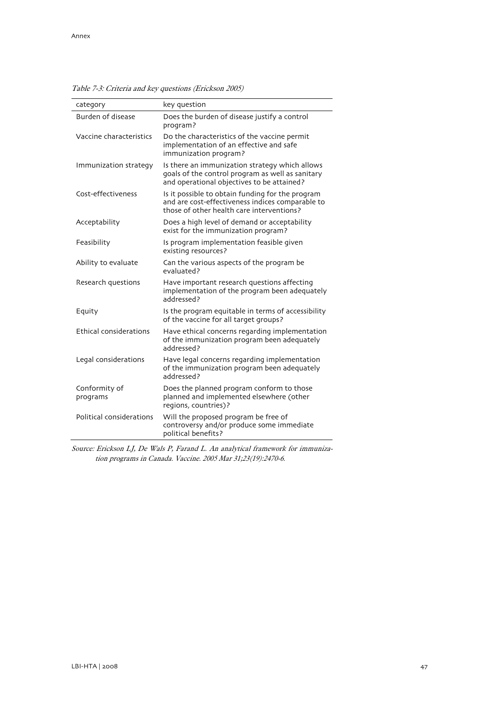| category                  | key question                                                                                                                                      |
|---------------------------|---------------------------------------------------------------------------------------------------------------------------------------------------|
| <b>Burden of disease</b>  | Does the burden of disease justify a control<br>program?                                                                                          |
| Vaccine characteristics   | Do the characteristics of the vaccine permit<br>implementation of an effective and safe<br>immunization program?                                  |
| Immunization strategy     | Is there an immunization strategy which allows<br>goals of the control program as well as sanitary<br>and operational objectives to be attained?  |
| Cost-effectiveness        | Is it possible to obtain funding for the program<br>and are cost-effectiveness indices comparable to<br>those of other health care interventions? |
| Acceptability             | Does a high level of demand or acceptability<br>exist for the immunization program?                                                               |
| Feasibility               | Is program implementation feasible given<br>existing resources?                                                                                   |
| Ability to evaluate       | Can the various aspects of the program be<br>evaluated?                                                                                           |
| Research questions        | Have important research questions affecting<br>implementation of the program been adequately<br>addressed?                                        |
| Equity                    | Is the program equitable in terms of accessibility<br>of the vaccine for all target groups?                                                       |
| Ethical considerations    | Have ethical concerns regarding implementation<br>of the immunization program been adequately<br>addressed?                                       |
| Legal considerations      | Have legal concerns regarding implementation<br>of the immunization program been adequately<br>addressed?                                         |
| Conformity of<br>programs | Does the planned program conform to those<br>planned and implemented elsewhere (other<br>regions, countries)?                                     |
| Political considerations  | Will the proposed program be free of<br>controversy and/or produce some immediate<br>political benefits?                                          |

<span id="page-48-0"></span>Table 7-3: Criteria and key questions (Erickson 2005)

Source: Erickson LJ, De Wals P, Farand L. An analytical framework for immunization programs in Canada. Vaccine. 2005 Mar 31;23(19):2470-6.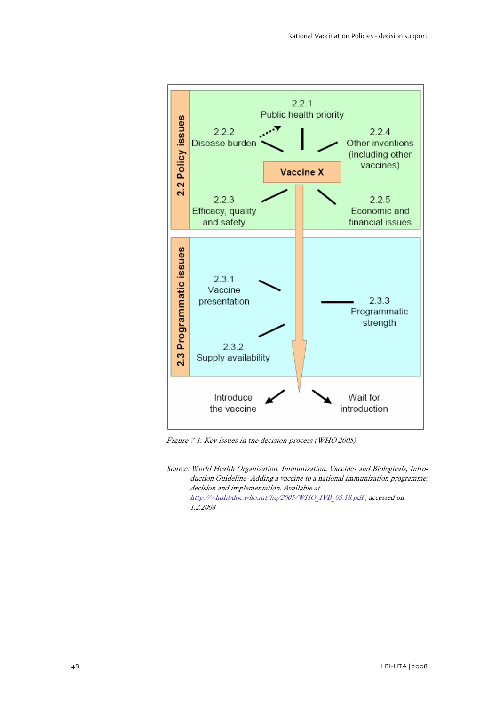<span id="page-49-0"></span>

Figure 7-1: Key issues in the decision process (WHO 2005)

Source: World Health Organization. Immunization, Vaccines and Biologicals, Introduction Guideline- Adding a vaccine to a national immunization programme: decision and implementation. Available at http://whqlibdoc.who.int/hq/2005/WHO\_IVB\_05.18.pdf , accessed on 1.2.2008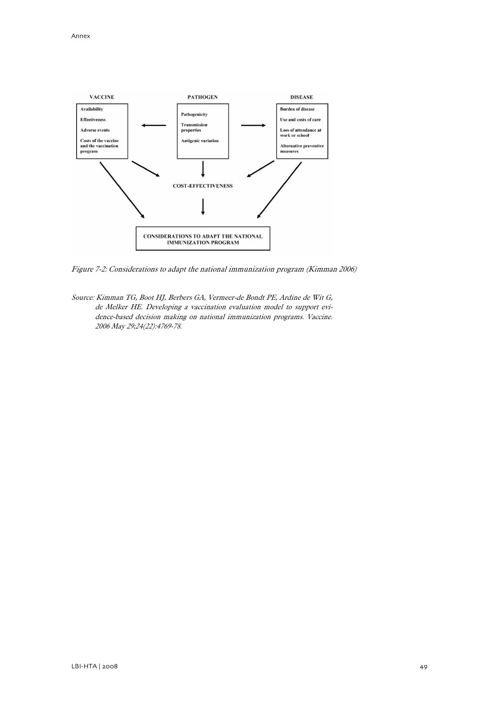<span id="page-50-0"></span>

Figure 7-2: Considerations to adapt the national immunization program (Kimman 2006)

Source: Kimman TG, Boot HJ, Berbers GA, Vermeer-de Bondt PE, Ardine de Wit G, de Melker HE. Developing a vaccination evaluation model to support evidence-based decision making on national immunization programs. Vaccine. 2006 May 29;24(22):4769-78.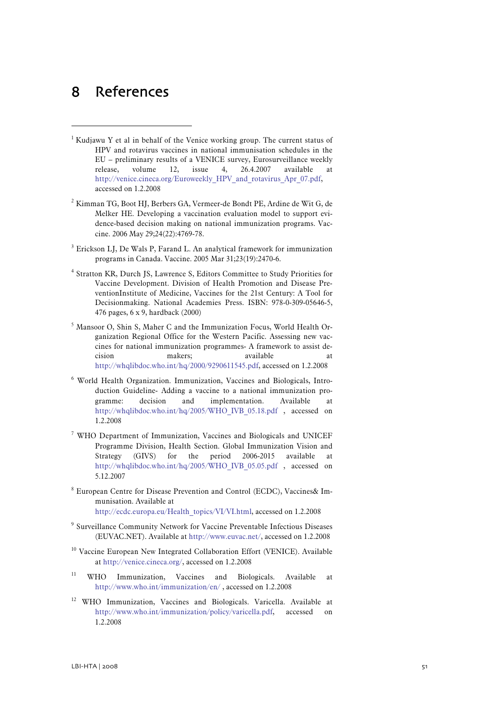# <span id="page-52-0"></span>8 References

- <sup>1</sup> Kudjawu Y et al in behalf of the Venice working group. The current status of HPV and rotavirus vaccines in national immunisation schedules in the EU – preliminary results of a VENICE survey, Eurosurveillance weekly release, volume 12, issue 4, 26.4.2007 available at http://venice.cineca.org/Euroweekly\_HPV\_and\_rotavirus\_Apr\_07.pdf, accessed on 1.2.2008
- <sup>2</sup> Kimman TG, Boot HJ, Berbers GA, Vermeer-de Bondt PE, Ardine de Wit G, de Melker HE. Developing a vaccination evaluation model to support evidence-based decision making on national immunization programs. Vaccine. 2006 May 29;24(22):4769-78.
- <sup>3</sup> Erickson LJ, De Wals P, Farand L. An analytical framework for immunization programs in Canada. Vaccine. 2005 Mar 31;23(19):2470-6.
- 4 Stratton KR, Durch JS, Lawrence S, Editors Committee to Study Priorities for Vaccine Development. Division of Health Promotion and Disease PreventionInstitute of Medicine, Vaccines for the 21st Century: A Tool for Decisionmaking. National Academies Press. ISBN: 978-0-309-05646-5, 476 pages, 6 x 9, hardback (2000)
- <sup>5</sup> Mansoor O, Shin S, Maher C and the Immunization Focus, World Health Organization Regional Office for the Western Pacific. Assessing new vaccines for national immunization programmes- A framework to assist decision makers; available at http://whqlibdoc.who.int/hq/2000/9290611545.pdf, accessed on 1.2.2008
- <sup>6</sup> World Health Organization. Immunization, Vaccines and Biologicals, Introduction Guideline- Adding a vaccine to a national immunization programme: decision and implementation. Available at http://whqlibdoc.who.int/hq/2005/WHO\_IVB\_05.18.pdf , accessed on 1.2.2008
- <sup>7</sup> WHO Department of Immunization, Vaccines and Biologicals and UNICEF Programme Division, Health Section. Global Immunization Vision and Strategy (GIVS) for the period 2006-2015 available at http://whqlibdoc.who.int/hq/2005/WHO\_IVB\_05.05.pdf , accessed on 5.12.2007
- <sup>8</sup> European Centre for Disease Prevention and Control (ECDC), Vaccines& Immunisation. Available at http://ecdc.europa.eu/Health\_topics/VI/VI.html, accessed on 1.2.2008
- <sup>9</sup> Surveillance Community Network for Vaccine Preventable Infectious Diseases (EUVAC.NET). Available at http://www.euvac.net/, accessed on 1.2.2008
- <sup>10</sup> Vaccine European New Integrated Collaboration Effort (VENICE). Available at http://venice.cineca.org/, accessed on 1.2.2008
- WHO Immunization, Vaccines and Biologicals. Available at http://www.who.int/immunization/en/ , accessed on 1.2.2008
- <sup>12</sup> WHO Immunization, Vaccines and Biologicals. Varicella. Available at http://www.who.int/immunization/policy/varicella.pdf, accessed 1.2.2008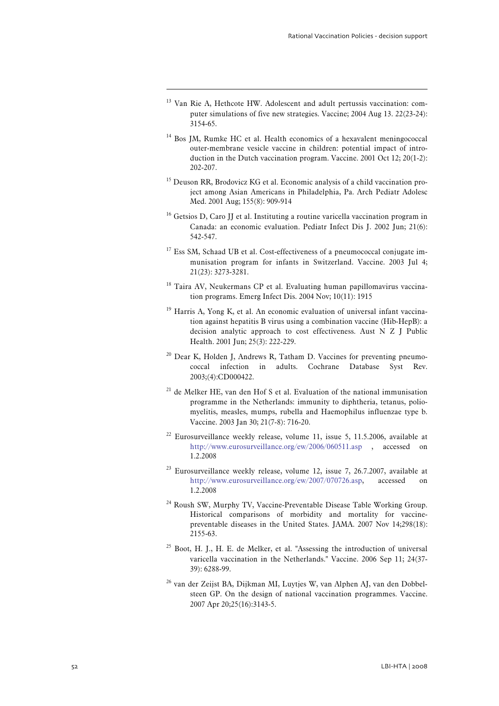<sup>13</sup> Van Rie A, Hethcote HW. Adolescent and adult pertussis vaccination: computer simulations of five new strategies. Vaccine; 2004 Aug 13. 22(23-24): 3154-65.

- <sup>14</sup> Bos JM, Rumke HC et al. Health economics of a hexavalent meningococcal outer-membrane vesicle vaccine in children: potential impact of introduction in the Dutch vaccination program. Vaccine. 2001 Oct 12; 20(1-2): 202-207.
- $15$  Deuson RR, Brodovicz KG et al. Economic analysis of a child vaccination project among Asian Americans in Philadelphia, Pa. Arch Pediatr Adolesc Med. 2001 Aug; 155(8): 909-914
- <sup>16</sup> Getsios D, Caro JJ et al. Instituting a routine varicella vaccination program in Canada: an economic evaluation. Pediatr Infect Dis J. 2002 Jun; 21(6): 542-547.
- <sup>17</sup> Ess SM, Schaad UB et al. Cost-effectiveness of a pneumococcal conjugate immunisation program for infants in Switzerland. Vaccine. 2003 Jul 4; 21(23): 3273-3281.
- <sup>18</sup> Taira AV, Neukermans CP et al. Evaluating human papillomavirus vaccination programs. Emerg Infect Dis. 2004 Nov; 10(11): 1915
- <sup>19</sup> Harris A, Yong K, et al. An economic evaluation of universal infant vaccination against hepatitis B virus using a combination vaccine (Hib-HepB): a decision analytic approach to cost effectiveness. Aust N Z J Public Health. 2001 Jun; 25(3): 222-229.
- <sup>20</sup> Dear K, Holden J, Andrews R, Tatham D. Vaccines for preventing pneumococcal infection in adults. Cochrane Database Syst Rev. 2003;(4):CD000422.
- $21$  de Melker HE, van den Hof S et al. Evaluation of the national immunisation programme in the Netherlands: immunity to diphtheria, tetanus, poliomyelitis, measles, mumps, rubella and Haemophilus influenzae type b. Vaccine. 2003 Jan 30; 21(7-8): 716-20.
- <sup>22</sup> Eurosurveillance weekly release, volume 11, issue 5, 11.5.2006, available at http://www.eurosurveillance.org/ew/2006/060511.asp , accessed on 1.2.2008
- $23$  Eurosurveillance weekly release, volume 12, issue 7, 26.7.2007, available at http://www.eurosurveillance.org/ew/2007/070726.asp, accessed 1.2.2008
- <sup>24</sup> Roush SW, Murphy TV, Vaccine-Preventable Disease Table Working Group. Historical comparisons of morbidity and mortality for vaccinepreventable diseases in the United States. JAMA. 2007 Nov 14;298(18): 2155-63.
- $25$  Boot, H. J., H. E. de Melker, et al. "Assessing the introduction of universal varicella vaccination in the Netherlands." Vaccine. 2006 Sep 11; 24(37- 39): 6288-99.
- <sup>26</sup> van der Zeijst BA, Dijkman MI, Luvtjes W, van Alphen AI, van den Dobbelsteen GP. On the design of national vaccination programmes. Vaccine. 2007 Apr 20;25(16):3143-5.